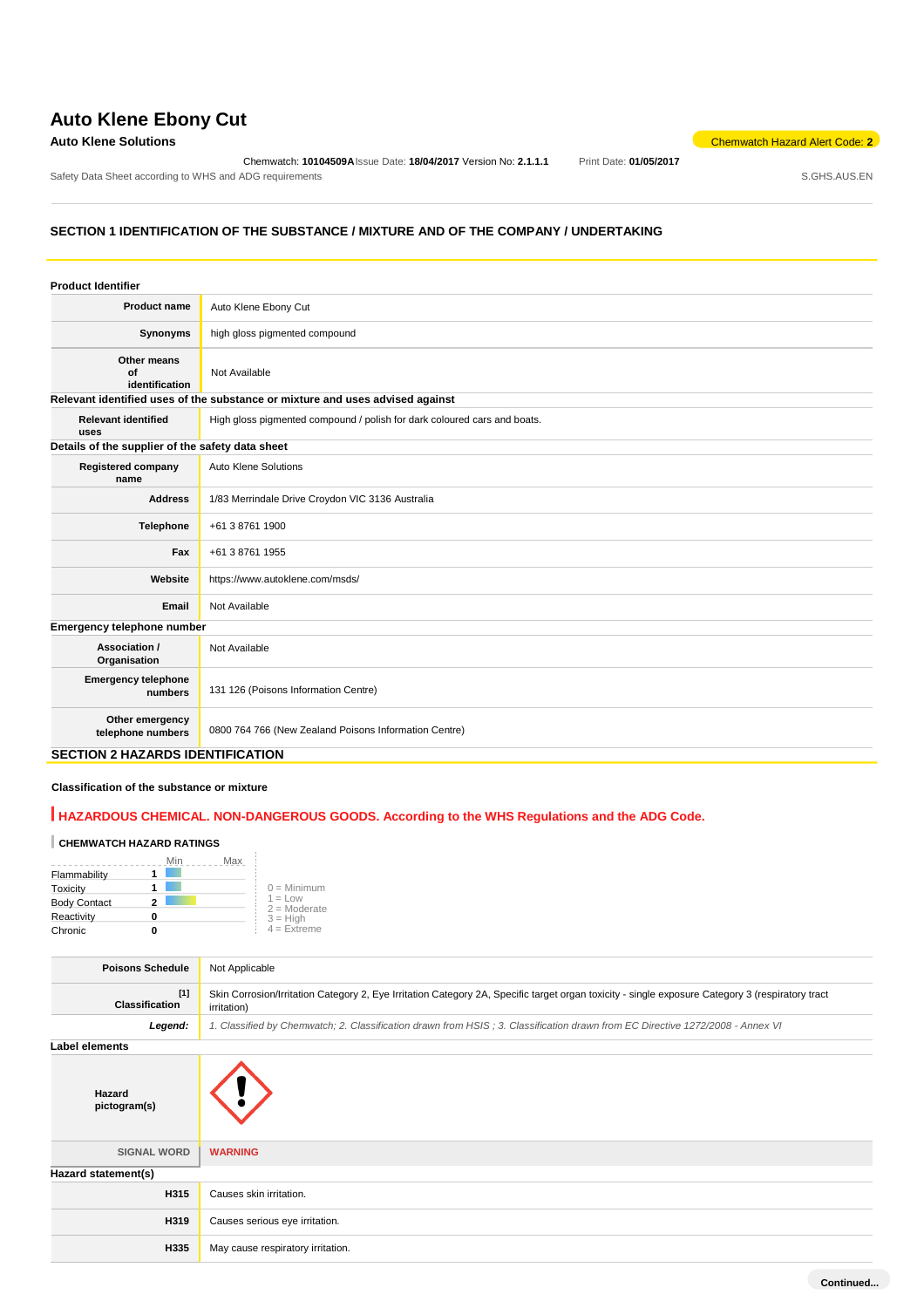# **Auto Klene Ebony Cut**

### **Auto Klene Solutions** Chemwatch Hazard Alert Code: **2**

Chemwatch: **10104509A**Issue Date: **18/04/2017** Version No: **2.1.1.1** Print Date: **01/05/2017** Safety Data Sheet according to WHS and ADG requirements **Safety Data Sheet according to WHS** and ADG requirements

## **SECTION 1 IDENTIFICATION OF THE SUBSTANCE / MIXTURE AND OF THE COMPANY / UNDERTAKING**

| Auto Klene Ebony Cut<br><b>Product name</b><br>high gloss pigmented compound<br>Synonyms<br>Other means<br>Οf<br>Not Available<br>identification<br>Relevant identified uses of the substance or mixture and uses advised against<br><b>Relevant identified</b><br>High gloss pigmented compound / polish for dark coloured cars and boats.<br>uses<br>Details of the supplier of the safety data sheet<br>Auto Klene Solutions<br><b>Registered company</b><br>name<br>1/83 Merrindale Drive Croydon VIC 3136 Australia<br><b>Address</b><br><b>Telephone</b><br>+61 3 8761 1900<br>+61 3 8761 1955<br>Fax<br>Website<br>https://www.autoklene.com/msds/<br>Not Available<br>Email<br>Emergency telephone number<br>Association /<br>Not Available<br>Organisation<br><b>Emergency telephone</b><br>131 126 (Poisons Information Centre)<br>numbers<br>Other emergency<br>0800 764 766 (New Zealand Poisons Information Centre)<br>telephone numbers | <b>Product Identifier</b> |  |
|-------------------------------------------------------------------------------------------------------------------------------------------------------------------------------------------------------------------------------------------------------------------------------------------------------------------------------------------------------------------------------------------------------------------------------------------------------------------------------------------------------------------------------------------------------------------------------------------------------------------------------------------------------------------------------------------------------------------------------------------------------------------------------------------------------------------------------------------------------------------------------------------------------------------------------------------------------|---------------------------|--|
|                                                                                                                                                                                                                                                                                                                                                                                                                                                                                                                                                                                                                                                                                                                                                                                                                                                                                                                                                       |                           |  |
|                                                                                                                                                                                                                                                                                                                                                                                                                                                                                                                                                                                                                                                                                                                                                                                                                                                                                                                                                       |                           |  |
|                                                                                                                                                                                                                                                                                                                                                                                                                                                                                                                                                                                                                                                                                                                                                                                                                                                                                                                                                       |                           |  |
|                                                                                                                                                                                                                                                                                                                                                                                                                                                                                                                                                                                                                                                                                                                                                                                                                                                                                                                                                       |                           |  |
|                                                                                                                                                                                                                                                                                                                                                                                                                                                                                                                                                                                                                                                                                                                                                                                                                                                                                                                                                       |                           |  |
|                                                                                                                                                                                                                                                                                                                                                                                                                                                                                                                                                                                                                                                                                                                                                                                                                                                                                                                                                       |                           |  |
|                                                                                                                                                                                                                                                                                                                                                                                                                                                                                                                                                                                                                                                                                                                                                                                                                                                                                                                                                       |                           |  |
|                                                                                                                                                                                                                                                                                                                                                                                                                                                                                                                                                                                                                                                                                                                                                                                                                                                                                                                                                       |                           |  |
|                                                                                                                                                                                                                                                                                                                                                                                                                                                                                                                                                                                                                                                                                                                                                                                                                                                                                                                                                       |                           |  |
|                                                                                                                                                                                                                                                                                                                                                                                                                                                                                                                                                                                                                                                                                                                                                                                                                                                                                                                                                       |                           |  |
|                                                                                                                                                                                                                                                                                                                                                                                                                                                                                                                                                                                                                                                                                                                                                                                                                                                                                                                                                       |                           |  |
|                                                                                                                                                                                                                                                                                                                                                                                                                                                                                                                                                                                                                                                                                                                                                                                                                                                                                                                                                       |                           |  |
|                                                                                                                                                                                                                                                                                                                                                                                                                                                                                                                                                                                                                                                                                                                                                                                                                                                                                                                                                       |                           |  |
|                                                                                                                                                                                                                                                                                                                                                                                                                                                                                                                                                                                                                                                                                                                                                                                                                                                                                                                                                       |                           |  |
|                                                                                                                                                                                                                                                                                                                                                                                                                                                                                                                                                                                                                                                                                                                                                                                                                                                                                                                                                       |                           |  |
|                                                                                                                                                                                                                                                                                                                                                                                                                                                                                                                                                                                                                                                                                                                                                                                                                                                                                                                                                       |                           |  |

#### **SECTION 2 HAZARDS IDENTIFICATION**

#### **Classification of the substance or mixture**

## **HAZARDOUS CHEMICAL. NON-DANGEROUS GOODS. According to the WHS Regulations and the ADG Code.**

## **CHEMWATCH HAZARD RATINGS**

|                     | Max<br>Min |                             |
|---------------------|------------|-----------------------------|
| Flammability        |            |                             |
| Toxicity            |            | $0 =$ Minimum               |
| <b>Body Contact</b> |            | $1 = Low$<br>$2 =$ Moderate |
| Reactivity          |            | $3 = High$                  |
| Chronic             |            | $4 =$ Extreme               |

| <b>Poisons Schedule</b>        | Not Applicable                                                                                                                                                  |
|--------------------------------|-----------------------------------------------------------------------------------------------------------------------------------------------------------------|
| $[1]$<br><b>Classification</b> | Skin Corrosion/Irritation Category 2, Eye Irritation Category 2A, Specific target organ toxicity - single exposure Category 3 (respiratory tract<br>irritation) |
| Legend:                        | 1. Classified by Chemwatch; 2. Classification drawn from HSIS; 3. Classification drawn from EC Directive 1272/2008 - Annex VI                                   |
| Label elements                 |                                                                                                                                                                 |
| Hazard<br>pictogram(s)         |                                                                                                                                                                 |
| <b>SIGNAL WORD</b>             | <b>WARNING</b>                                                                                                                                                  |
| Hazard statement(s)            |                                                                                                                                                                 |
| H315                           | Causes skin irritation.                                                                                                                                         |
| H319                           | Causes serious eye irritation.                                                                                                                                  |
| H335                           | May cause respiratory irritation.                                                                                                                               |
|                                |                                                                                                                                                                 |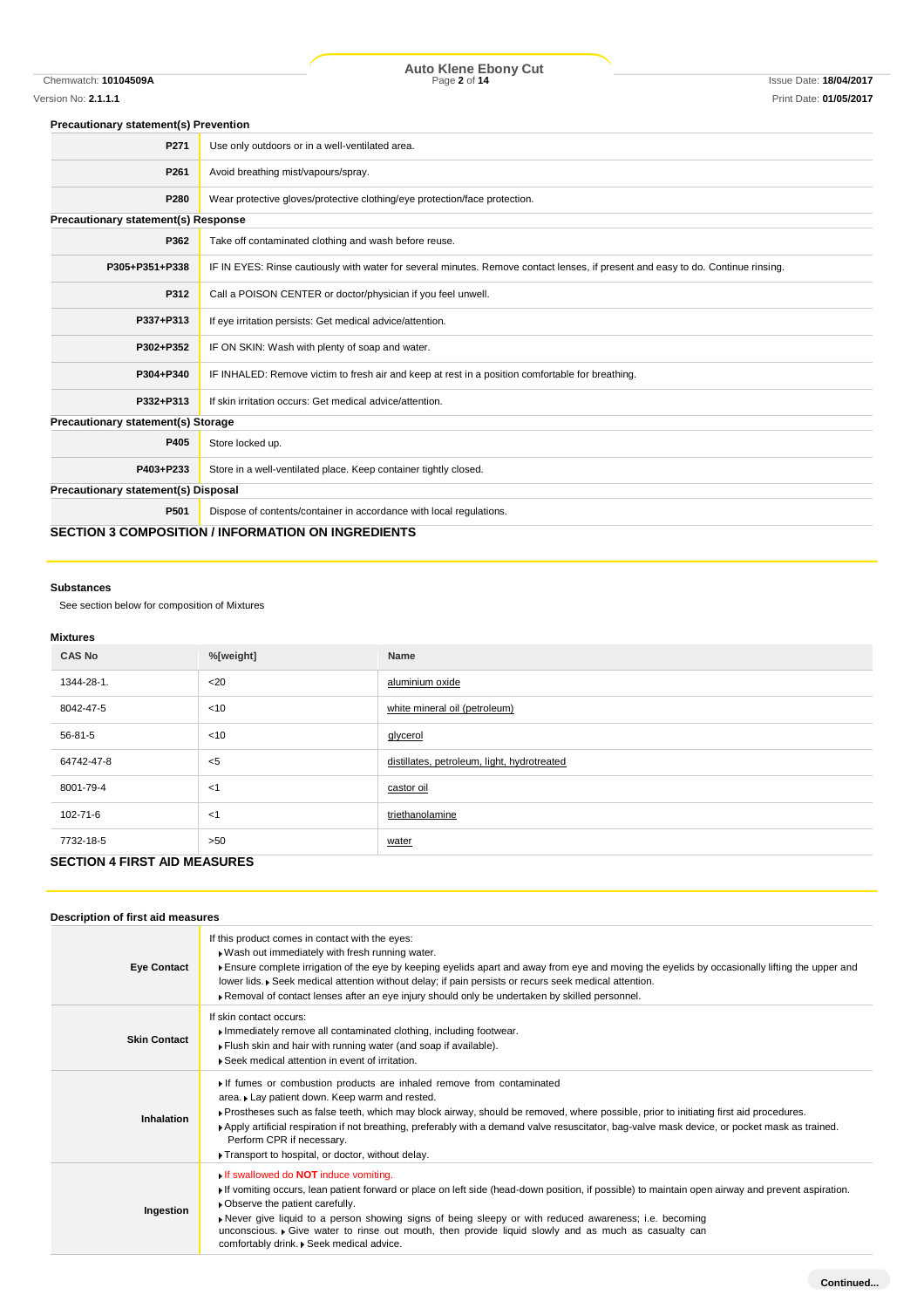#### **Precautionary statement(s) Prevention**

| P271                                      | Use only outdoors or in a well-ventilated area.                                                                                  |
|-------------------------------------------|----------------------------------------------------------------------------------------------------------------------------------|
| P261                                      | Avoid breathing mist/vapours/spray.                                                                                              |
| P280                                      | Wear protective gloves/protective clothing/eye protection/face protection.                                                       |
| Precautionary statement(s) Response       |                                                                                                                                  |
| P362                                      | Take off contaminated clothing and wash before reuse.                                                                            |
| P305+P351+P338                            | IF IN EYES: Rinse cautiously with water for several minutes. Remove contact lenses, if present and easy to do. Continue rinsing. |
| P312                                      | Call a POISON CENTER or doctor/physician if you feel unwell.                                                                     |
| P337+P313                                 | If eye irritation persists: Get medical advice/attention.                                                                        |
| P302+P352                                 | IF ON SKIN: Wash with plenty of soap and water.                                                                                  |
| P304+P340                                 | IF INHALED: Remove victim to fresh air and keep at rest in a position comfortable for breathing.                                 |
| P332+P313                                 | If skin irritation occurs: Get medical advice/attention.                                                                         |
| <b>Precautionary statement(s) Storage</b> |                                                                                                                                  |
| P405                                      | Store locked up.                                                                                                                 |
| P403+P233                                 | Store in a well-ventilated place. Keep container tightly closed.                                                                 |
| Precautionary statement(s) Disposal       |                                                                                                                                  |
| P501                                      | Dispose of contents/container in accordance with local regulations.                                                              |
|                                           | <b>SECTION 3 COMPOSITION / INFORMATION ON INGREDIENTS</b>                                                                        |

#### **Substances**

See section below for composition of Mixtures

### **Mixtures**

| <br><b>CAS No</b>                   | %[weight] | Name                                        |
|-------------------------------------|-----------|---------------------------------------------|
| 1344-28-1.                          | $<$ 20    | aluminium oxide                             |
| 8042-47-5                           | $<$ 10    | white mineral oil (petroleum)               |
| 56-81-5                             | < 10      | glycerol                                    |
| 64742-47-8                          | $<$ 5     | distillates, petroleum, light, hydrotreated |
| 8001-79-4                           | $<$ 1     | castor oil                                  |
| 102-71-6                            | < 1       | triethanolamine                             |
| 7732-18-5                           | >50       | water                                       |
| <b>SECTION 4 FIRST AID MEASURES</b> |           |                                             |

## **Description of first aid measures**

| <b>Eye Contact</b>  | If this product comes in contact with the eyes:<br>. Wash out immediately with fresh running water.<br>Fisure complete irrigation of the eye by keeping eyelids apart and away from eye and moving the eyelids by occasionally lifting the upper and<br>lower lids. • Seek medical attention without delay; if pain persists or recurs seek medical attention.<br>▶ Removal of contact lenses after an eye injury should only be undertaken by skilled personnel.                                          |
|---------------------|------------------------------------------------------------------------------------------------------------------------------------------------------------------------------------------------------------------------------------------------------------------------------------------------------------------------------------------------------------------------------------------------------------------------------------------------------------------------------------------------------------|
| <b>Skin Contact</b> | If skin contact occurs:<br>Immediately remove all contaminated clothing, including footwear.<br>Flush skin and hair with running water (and soap if available).<br>▶ Seek medical attention in event of irritation.                                                                                                                                                                                                                                                                                        |
| Inhalation          | If fumes or combustion products are inhaled remove from contaminated<br>area. Lay patient down. Keep warm and rested.<br>▶ Prostheses such as false teeth, which may block airway, should be removed, where possible, prior to initiating first aid procedures.<br>Apply artificial respiration if not breathing, preferably with a demand valve resuscitator, bag-valve mask device, or pocket mask as trained.<br>Perform CPR if necessary.<br>Transport to hospital, or doctor, without delay.          |
| Ingestion           | $\bullet$ If swallowed do <b>NOT</b> induce vomiting.<br>If vomiting occurs, lean patient forward or place on left side (head-down position, if possible) to maintain open airway and prevent aspiration.<br>• Observe the patient carefully.<br>Never give liquid to a person showing signs of being sleepy or with reduced awareness; i.e. becoming<br>unconscious. • Give water to rinse out mouth, then provide liquid slowly and as much as casualty can<br>comfortably drink. • Seek medical advice. |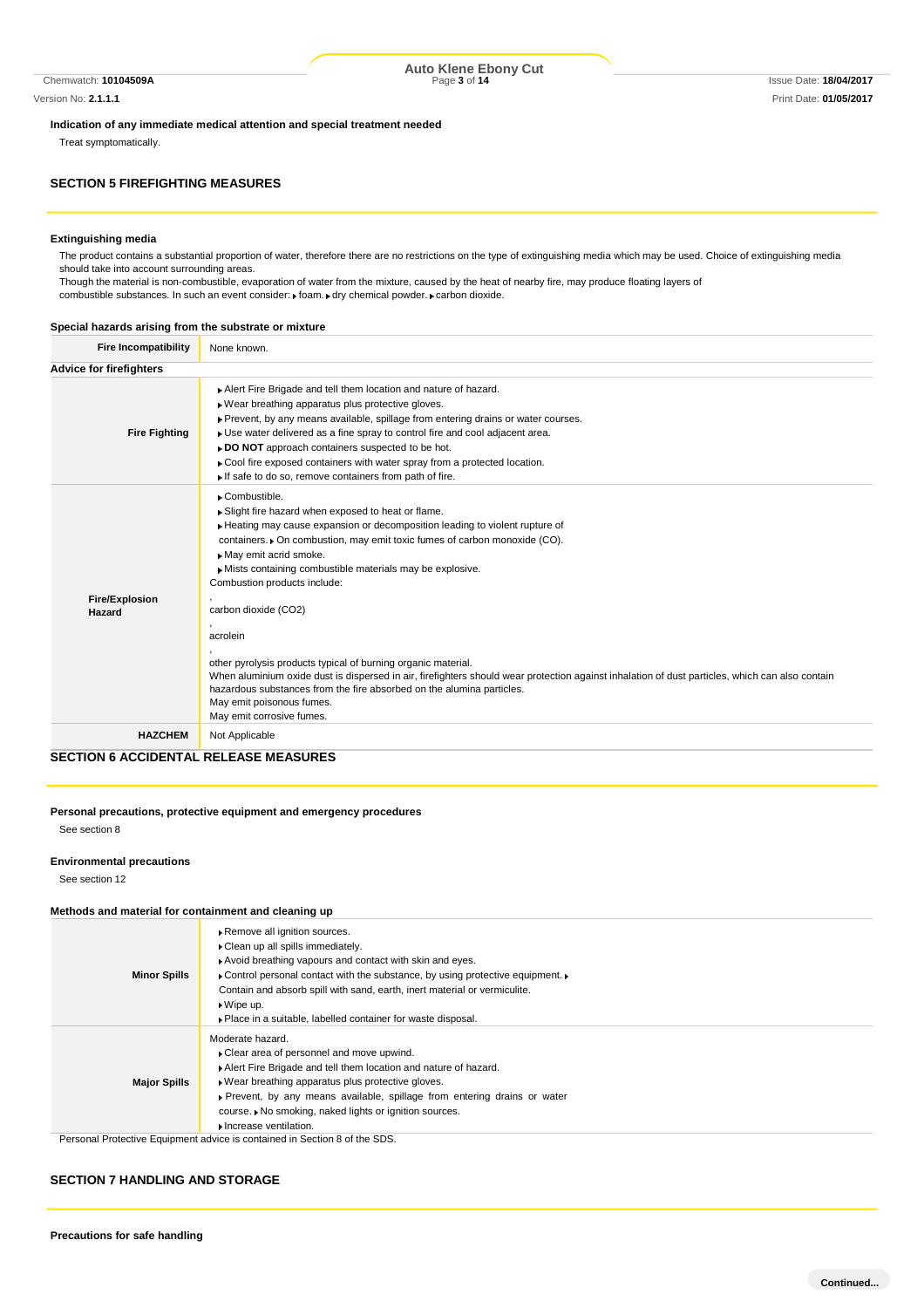Chemwatch: **10104509A** Page **3** of **14** Issue Date: **18/04/2017 Auto Klene Ebony Cut**

Version No: **2.1.1.1** Print Date: **01/05/2017**

**Indication of any immediate medical attention and special treatment needed**

Treat symptomatically.

## **SECTION 5 FIREFIGHTING MEASURES**

#### **Extinguishing media**

The product contains a substantial proportion of water, therefore there are no restrictions on the type of extinguishing media which may be used. Choice of extinguishing media should take into account surrounding areas.

Though the material is non-combustible, evaporation of water from the mixture, caused by the heat of nearby fire, may produce floating layers of combustible substances. In such an event consider:  $\mathbf r$  foam.  $\mathbf r$  dry chemical powder.  $\mathbf r$  carbon dioxide.

#### **Special hazards arising from the substrate or mixture**

| <b>Fire Incompatibility</b>    | None known.                                                                                                                                                                                                                                                                                                                                                                                                                                                                               |
|--------------------------------|-------------------------------------------------------------------------------------------------------------------------------------------------------------------------------------------------------------------------------------------------------------------------------------------------------------------------------------------------------------------------------------------------------------------------------------------------------------------------------------------|
| <b>Advice for firefighters</b> |                                                                                                                                                                                                                                                                                                                                                                                                                                                                                           |
| <b>Fire Fighting</b>           | Alert Fire Brigade and tell them location and nature of hazard.<br>. Wear breathing apparatus plus protective gloves.<br>▶ Prevent, by any means available, spillage from entering drains or water courses.<br>• Use water delivered as a fine spray to control fire and cool adjacent area.<br>▶ DO NOT approach containers suspected to be hot.<br>► Cool fire exposed containers with water spray from a protected location.<br>If safe to do so, remove containers from path of fire. |
| <b>Fire/Explosion</b>          | Combustible.<br>▶ Slight fire hazard when exposed to heat or flame.<br>Heating may cause expansion or decomposition leading to violent rupture of<br>containers. • On combustion, may emit toxic fumes of carbon monoxide (CO).<br>May emit acrid smoke.<br>Mists containing combustible materials may be explosive.<br>Combustion products include:<br>carbon dioxide (CO2)                                                                                                              |
| Hazard                         | acrolein<br>other pyrolysis products typical of burning organic material.<br>When aluminium oxide dust is dispersed in air, firefighters should wear protection against inhalation of dust particles, which can also contain<br>hazardous substances from the fire absorbed on the alumina particles.<br>May emit poisonous fumes.<br>May emit corrosive fumes.                                                                                                                           |
| <b>HAZCHEM</b>                 | Not Applicable                                                                                                                                                                                                                                                                                                                                                                                                                                                                            |

## **SECTION 6 ACCIDENTAL RELEASE MEASURES**

#### **Personal precautions, protective equipment and emergency procedures** See section 8

#### **Environmental precautions**

See section 12

#### **Methods and material for containment and cleaning up**

| <b>Minor Spills</b> | Remove all ignition sources.<br>Clean up all spills immediately.<br>Avoid breathing vapours and contact with skin and eyes.<br>• Control personal contact with the substance, by using protective equipment. •<br>Contain and absorb spill with sand, earth, inert material or vermiculite.<br>$\triangleright$ Wipe up.<br>• Place in a suitable, labelled container for waste disposal. |
|---------------------|-------------------------------------------------------------------------------------------------------------------------------------------------------------------------------------------------------------------------------------------------------------------------------------------------------------------------------------------------------------------------------------------|
| <b>Major Spills</b> | Moderate hazard.<br>Clear area of personnel and move upwind.<br>Alert Fire Brigade and tell them location and nature of hazard.<br>• Wear breathing apparatus plus protective gloves.<br>▶ Prevent, by any means available, spillage from entering drains or water<br>course. ▶ No smoking, naked lights or ignition sources.<br>Increase ventilation.                                    |
|                     | Personal Protective Equipment advice is contained in Section 8 of the SDS.                                                                                                                                                                                                                                                                                                                |

#### **SECTION 7 HANDLING AND STORAGE**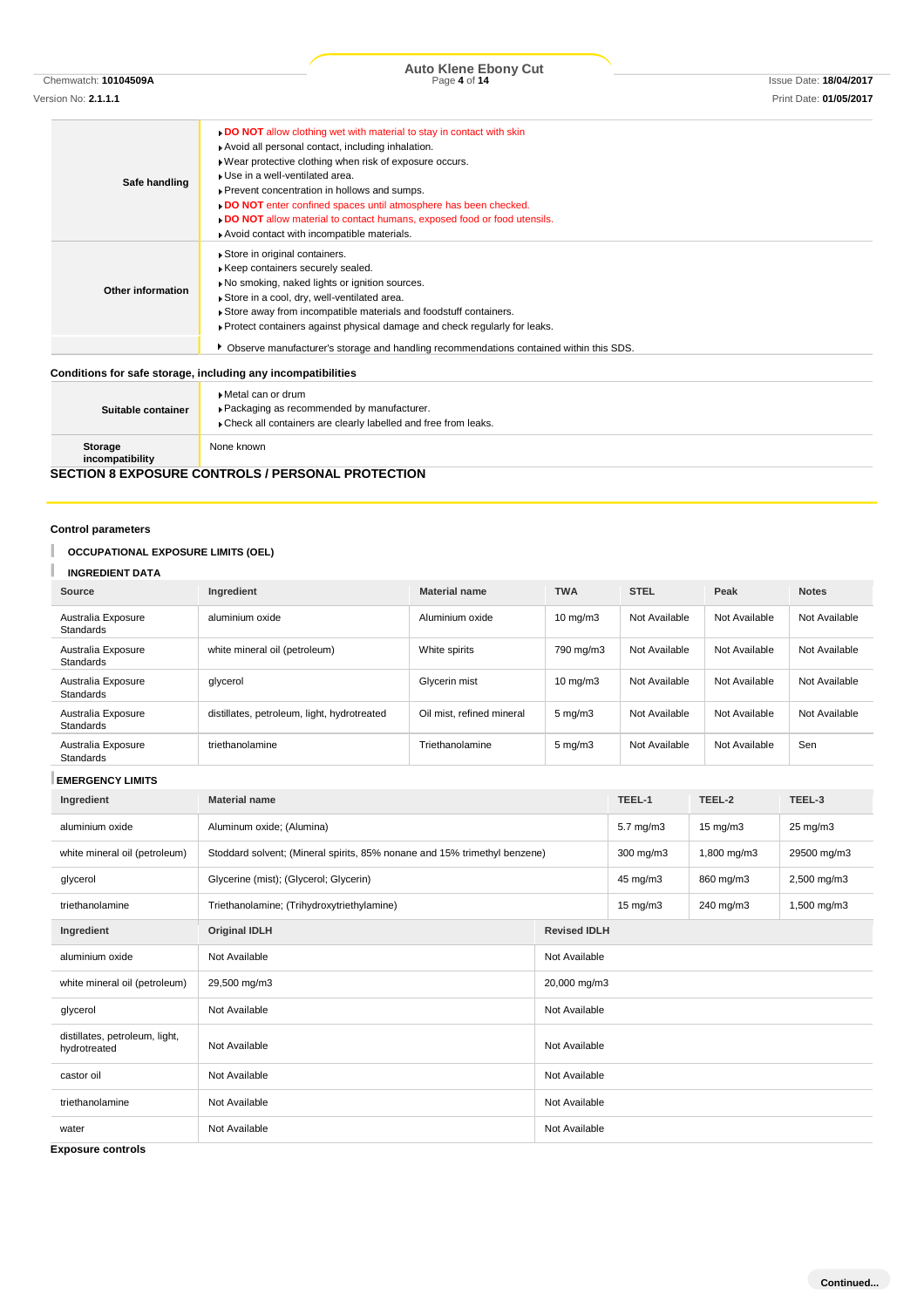Version No: **2.1.1.1** Print Date: **01/05/2017**

| Safe handling            | . DO NOT allow clothing wet with material to stay in contact with skin<br>Avoid all personal contact, including inhalation.<br>. Wear protective clothing when risk of exposure occurs.<br>▶ Use in a well-ventilated area.<br>Prevent concentration in hollows and sumps.<br>DO NOT enter confined spaces until atmosphere has been checked.<br><b>DO NOT</b> allow material to contact humans, exposed food or food utensils.<br>Avoid contact with incompatible materials. |
|--------------------------|-------------------------------------------------------------------------------------------------------------------------------------------------------------------------------------------------------------------------------------------------------------------------------------------------------------------------------------------------------------------------------------------------------------------------------------------------------------------------------|
| <b>Other information</b> | Store in original containers.<br>Keep containers securely sealed.<br>No smoking, naked lights or ignition sources.<br>Store in a cool, dry, well-ventilated area.<br>Store away from incompatible materials and foodstuff containers.<br>▶ Protect containers against physical damage and check regularly for leaks.                                                                                                                                                          |
|                          | Observe manufacturer's storage and handling recommendations contained within this SDS.                                                                                                                                                                                                                                                                                                                                                                                        |
|                          | Conditions for safe storage, including any incompatibilities                                                                                                                                                                                                                                                                                                                                                                                                                  |
|                          | ▶ Metal can or drum                                                                                                                                                                                                                                                                                                                                                                                                                                                           |
|                          |                                                                                                                                                                                                                                                                                                                                                                                                                                                                               |

| Suitable container                                       | ▶ Metal can or drum<br>▶ Packaging as recommended by manufacturer.<br>Check all containers are clearly labelled and free from leaks. |  |  |
|----------------------------------------------------------|--------------------------------------------------------------------------------------------------------------------------------------|--|--|
| Storage<br>incompatibility                               | None known                                                                                                                           |  |  |
| <b>SECTION 8 EXPOSURE CONTROLS / PERSONAL PROTECTION</b> |                                                                                                                                      |  |  |

## **Control parameters**

I

## **OCCUPATIONAL EXPOSURE LIMITS (OEL)**

## **INGREDIENT DATA**

| Source                                 | Ingredient                                  | <b>Material name</b>      | <b>TWA</b>         | <b>STEL</b>   | Peak          | <b>Notes</b>  |
|----------------------------------------|---------------------------------------------|---------------------------|--------------------|---------------|---------------|---------------|
| Australia Exposure<br><b>Standards</b> | aluminium oxide                             | Aluminium oxide           | $10 \text{ mg/m}$  | Not Available | Not Available | Not Available |
| Australia Exposure<br><b>Standards</b> | white mineral oil (petroleum)               | White spirits             | 790 mg/m3          | Not Available | Not Available | Not Available |
| Australia Exposure<br><b>Standards</b> | glycerol                                    | Glycerin mist             | $10 \text{ mg/m}$  | Not Available | Not Available | Not Available |
| Australia Exposure<br><b>Standards</b> | distillates, petroleum, light, hydrotreated | Oil mist, refined mineral | $5 \text{ mg/m}$   | Not Available | Not Available | Not Available |
| Australia Exposure<br>Standards        | triethanolamine                             | Triethanolamine           | $5 \text{ mg/m}$ 3 | Not Available | Not Available | Sen           |

## **EMERGENCY LIMITS**

| Ingredient                                     | <b>Material name</b>                                                      |               | TEEL-1               | TEEL-2            | TEEL-3      |  |
|------------------------------------------------|---------------------------------------------------------------------------|---------------|----------------------|-------------------|-------------|--|
| aluminium oxide                                | Aluminum oxide; (Alumina)                                                 |               | $5.7 \text{ mg/m}$ 3 | $15 \text{ mg/m}$ | 25 mg/m3    |  |
| white mineral oil (petroleum)                  | Stoddard solvent; (Mineral spirits, 85% nonane and 15% trimethyl benzene) |               | $300$ mg/m $3$       | 1,800 mg/m3       | 29500 mg/m3 |  |
| glycerol                                       | Glycerine (mist); (Glycerol; Glycerin)                                    |               | 45 mg/m3             | 860 mg/m3         | 2,500 mg/m3 |  |
| triethanolamine                                | Triethanolamine; (Trihydroxytriethylamine)                                |               | $15 \text{ mg/m}$    | 240 mg/m3         | 1,500 mg/m3 |  |
| Ingredient                                     | <b>Original IDLH</b><br><b>Revised IDLH</b>                               |               |                      |                   |             |  |
| aluminium oxide                                | Not Available<br>Not Available                                            |               |                      |                   |             |  |
| white mineral oil (petroleum)                  | 29,500 mg/m3<br>20,000 mg/m3                                              |               |                      |                   |             |  |
| glycerol                                       | Not Available<br>Not Available                                            |               |                      |                   |             |  |
| distillates, petroleum, light,<br>hydrotreated | Not Available                                                             | Not Available |                      |                   |             |  |
| castor oil                                     | Not Available                                                             | Not Available |                      |                   |             |  |
| triethanolamine                                | Not Available<br>Not Available                                            |               |                      |                   |             |  |
| water                                          | Not Available                                                             | Not Available |                      |                   |             |  |

**Exposure controls**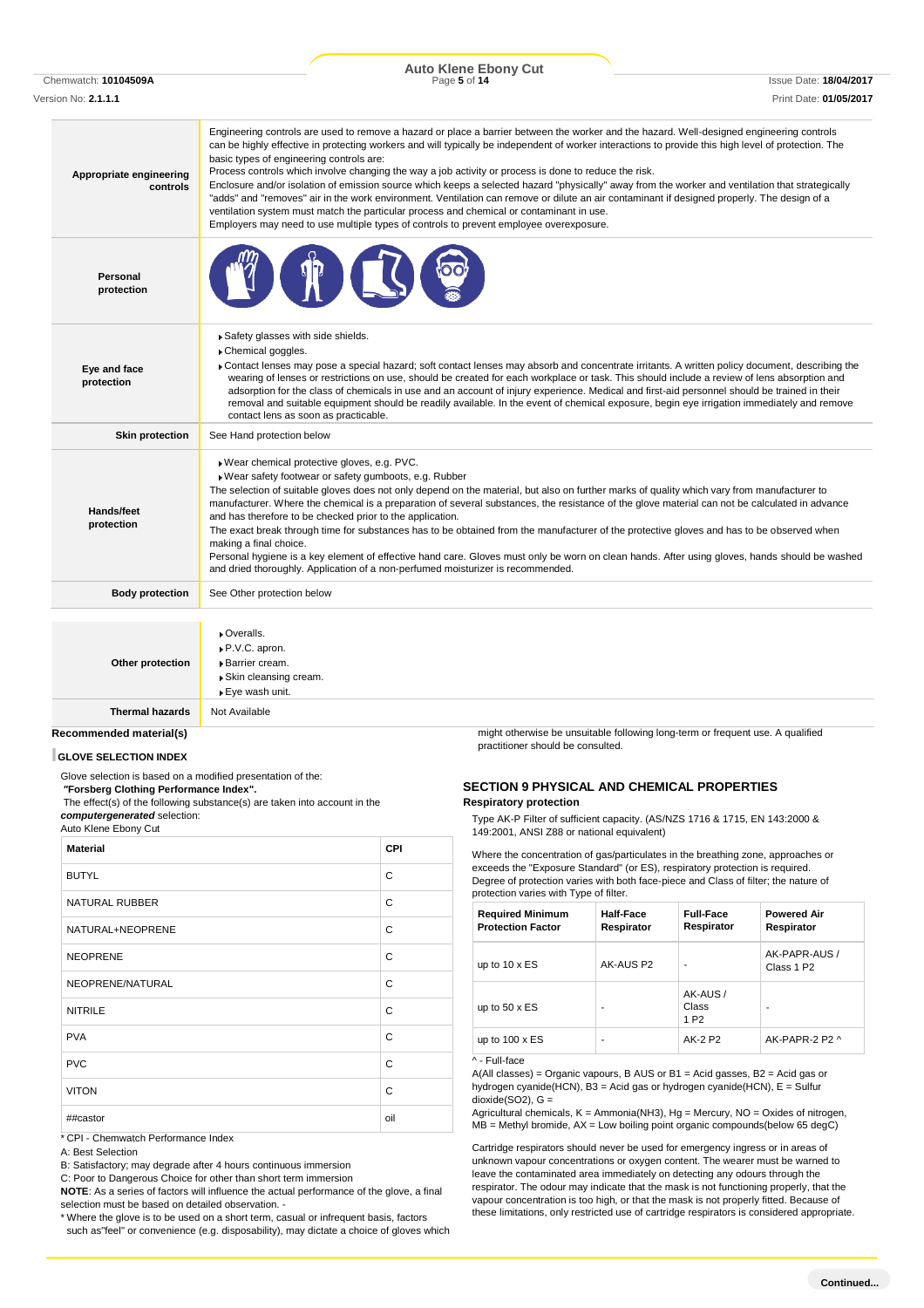Chemwatch: **10104509A** Page **5** of **14** Issue Date: **18/04/2017 Auto Klene Ebony Cut**

Version No: **2.1.1.1** Print Date: **01/05/2017**

| Appropriate engineering<br>controls        | Engineering controls are used to remove a hazard or place a barrier between the worker and the hazard. Well-designed engineering controls<br>can be highly effective in protecting workers and will typically be independent of worker interactions to provide this high level of protection. The<br>basic types of engineering controls are:<br>Process controls which involve changing the way a job activity or process is done to reduce the risk.<br>Enclosure and/or isolation of emission source which keeps a selected hazard "physically" away from the worker and ventilation that strategically<br>"adds" and "removes" air in the work environment. Ventilation can remove or dilute an air contaminant if designed properly. The design of a<br>ventilation system must match the particular process and chemical or contaminant in use.<br>Employers may need to use multiple types of controls to prevent employee overexposure. |
|--------------------------------------------|-------------------------------------------------------------------------------------------------------------------------------------------------------------------------------------------------------------------------------------------------------------------------------------------------------------------------------------------------------------------------------------------------------------------------------------------------------------------------------------------------------------------------------------------------------------------------------------------------------------------------------------------------------------------------------------------------------------------------------------------------------------------------------------------------------------------------------------------------------------------------------------------------------------------------------------------------|
| Personal<br>protection                     |                                                                                                                                                                                                                                                                                                                                                                                                                                                                                                                                                                                                                                                                                                                                                                                                                                                                                                                                                 |
| Eye and face<br>protection                 | Safety glasses with side shields.<br>Chemical goggles.<br>► Contact lenses may pose a special hazard; soft contact lenses may absorb and concentrate irritants. A written policy document, describing the<br>wearing of lenses or restrictions on use, should be created for each workplace or task. This should include a review of lens absorption and<br>adsorption for the class of chemicals in use and an account of injury experience. Medical and first-aid personnel should be trained in their<br>removal and suitable equipment should be readily available. In the event of chemical exposure, begin eye irrigation immediately and remove<br>contact lens as soon as practicable.                                                                                                                                                                                                                                                  |
| <b>Skin protection</b>                     | See Hand protection below                                                                                                                                                                                                                                                                                                                                                                                                                                                                                                                                                                                                                                                                                                                                                                                                                                                                                                                       |
| Hands/feet<br>protection                   | Wear chemical protective gloves, e.g. PVC.<br>▶ Wear safety footwear or safety gumboots, e.g. Rubber<br>The selection of suitable gloves does not only depend on the material, but also on further marks of quality which vary from manufacturer to<br>manufacturer. Where the chemical is a preparation of several substances, the resistance of the glove material can not be calculated in advance<br>and has therefore to be checked prior to the application.<br>The exact break through time for substances has to be obtained from the manufacturer of the protective gloves and has to be observed when<br>making a final choice.<br>Personal hygiene is a key element of effective hand care. Gloves must only be worn on clean hands. After using gloves, hands should be washed<br>and dried thoroughly. Application of a non-perfumed moisturizer is recommended.                                                                   |
| <b>Body protection</b>                     | See Other protection below                                                                                                                                                                                                                                                                                                                                                                                                                                                                                                                                                                                                                                                                                                                                                                                                                                                                                                                      |
| Other protection<br><b>Thermal hazards</b> | Overalls.<br>P.V.C. apron.<br>Barrier cream.<br>▶ Skin cleansing cream.<br>▶ Eye wash unit.<br>Not Available                                                                                                                                                                                                                                                                                                                                                                                                                                                                                                                                                                                                                                                                                                                                                                                                                                    |
|                                            |                                                                                                                                                                                                                                                                                                                                                                                                                                                                                                                                                                                                                                                                                                                                                                                                                                                                                                                                                 |

#### **Recommended material(s)**

#### **GLOVE SELECTION INDEX**

Glove selection is based on a modified presentation of the:

*"***Forsberg Clothing Performance Index".**

The effect(s) of the following substance(s) are taken into account in the *computergenerated* selection:

#### Auto Klene Ebony Cut

| <b>Material</b>       | <b>CPI</b> |
|-----------------------|------------|
| <b>BUTYL</b>          | C          |
| <b>NATURAL RUBBER</b> | C          |
| NATURAL+NEOPRENE      | C          |
| <b>NEOPRENE</b>       | C          |
| NEOPRENE/NATURAL      | C          |
| <b>NITRILE</b>        | C          |
| <b>PVA</b>            | C          |
| <b>PVC</b>            | C          |
| <b>VITON</b>          | C          |
| ##castor              | oil        |

\* CPI - Chemwatch Performance Index

A: Best Selection

B: Satisfactory; may degrade after 4 hours continuous immersion

C: Poor to Dangerous Choice for other than short term immersion

**NOTE**: As a series of factors will influence the actual performance of the glove, a final selection must be based on detailed observation. -

\* Where the glove is to be used on a short term, casual or infrequent basis, factors such as"feel" or convenience (e.g. disposability), may dictate a choice of gloves which might otherwise be unsuitable following long-term or frequent use. A qualified practitioner should be consulted.

#### **SECTION 9 PHYSICAL AND CHEMICAL PROPERTIES Respiratory protection**

Type AK-P Filter of sufficient capacity. (AS/NZS 1716 & 1715, EN 143:2000 & 149:2001, ANSI Z88 or national equivalent)

Where the concentration of gas/particulates in the breathing zone, approaches or exceeds the "Exposure Standard" (or ES), respiratory protection is required. Degree of protection varies with both face-piece and Class of filter; the nature of protection varies with Type of filter.

| <b>Required Minimum</b><br><b>Protection Factor</b> | <b>Half-Face</b><br>Respirator | <b>Full-Face</b><br>Respirator        | <b>Powered Air</b><br>Respirator        |
|-----------------------------------------------------|--------------------------------|---------------------------------------|-----------------------------------------|
| up to $10 \times ES$                                | AK-AUS P2                      |                                       | AK-PAPR-AUS /<br>Class 1 P <sub>2</sub> |
| up to $50 \times ES$                                |                                | AK-AUS /<br>Class<br>1 P <sub>2</sub> |                                         |
| up to $100 \times ES$                               | ۰                              | AK-2 P2                               | AK-PAPR-2 P2 ^                          |
| ^ - Full-face                                       |                                |                                       |                                         |

 $A(AII$  classes) = Organic vapours, B AUS or B1 = Acid gasses, B2 = Acid gas or hydrogen cyanide(HCN), B3 = Acid gas or hydrogen cyanide(HCN), E = Sulfur  $dioxide(SO2)$ ,  $G =$ 

Agricultural chemicals,  $K =$  Ammonia(NH3), Hg = Mercury, NO = Oxides of nitrogen,  $MB =$  Methyl bromide,  $AX =$  Low boiling point organic compounds(below 65 degC)

Cartridge respirators should never be used for emergency ingress or in areas of unknown vapour concentrations or oxygen content. The wearer must be warned to leave the contaminated area immediately on detecting any odours through the respirator. The odour may indicate that the mask is not functioning properly, that the vapour concentration is too high, or that the mask is not properly fitted. Because of these limitations, only restricted use of cartridge respirators is considered appropriate.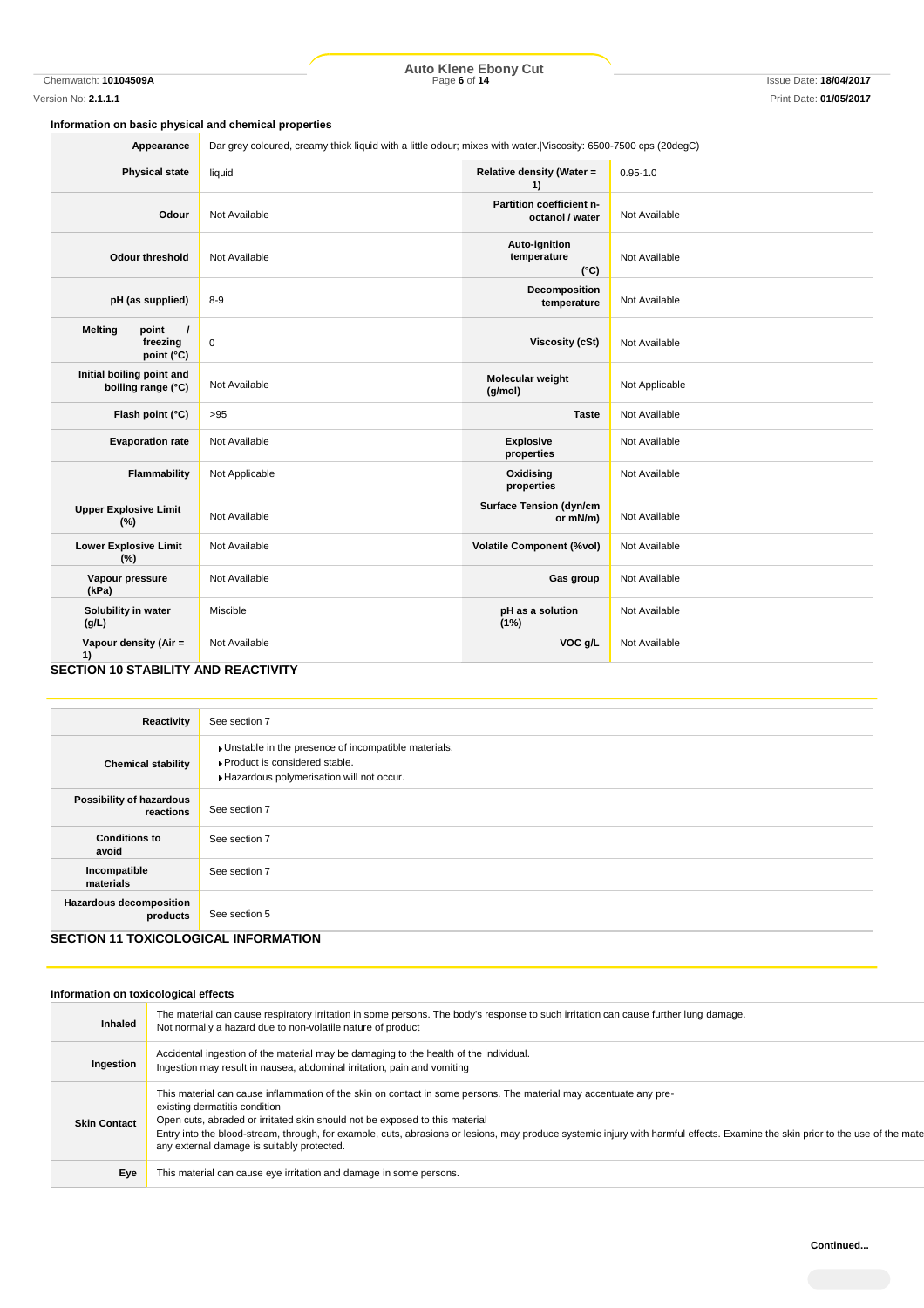Chemwatch: **10104509A** Page **6** of **14** Issue Date: **18/04/2017 Auto Klene Ebony Cut**

### **Information on basic physical and chemical properties**

| <b>Physical state</b><br>Relative density (Water =<br>$0.95 - 1.0$<br>liquid<br>1)<br>Partition coefficient n-<br>Not Available<br>Odour<br>Not Available<br>octanol / water<br>Auto-ignition<br>temperature<br>Not Available<br>Not Available<br><b>Odour threshold</b><br>$(^{\circ}C)$<br>Decomposition<br>pH (as supplied)<br>$8-9$<br>Not Available<br>temperature<br><b>Melting</b><br>point<br>$\prime$<br>freezing<br>$\pmb{0}$<br><b>Viscosity (cSt)</b><br>Not Available<br>point (°C)<br>Initial boiling point and<br>Molecular weight<br>Not Applicable<br>Not Available<br>boiling range (°C)<br>(g/mol)<br>Flash point (°C)<br>Not Available<br>>95<br><b>Taste</b><br><b>Evaporation rate</b><br>Not Available<br><b>Explosive</b><br>Not Available<br>properties<br><b>Flammability</b><br>Not Applicable<br>Oxidising<br>Not Available<br>properties<br><b>Surface Tension (dyn/cm</b><br><b>Upper Explosive Limit</b><br>Not Available<br>Not Available<br>or mN/m)<br>(%)<br><b>Lower Explosive Limit</b><br><b>Volatile Component (%vol)</b><br>Not Available<br>Not Available<br>(%)<br>Vapour pressure<br>Not Available<br>Gas group<br>Not Available<br>(kPa)<br>Solubility in water<br>Miscible<br>pH as a solution<br>Not Available<br>(g/L)<br>(1%)<br>VOC g/L<br>Vapour density (Air =<br>Not Available<br>Not Available | Appearance | Dar grey coloured, creamy thick liquid with a little odour; mixes with water. Viscosity: 6500-7500 cps (20degC) |  |  |
|-----------------------------------------------------------------------------------------------------------------------------------------------------------------------------------------------------------------------------------------------------------------------------------------------------------------------------------------------------------------------------------------------------------------------------------------------------------------------------------------------------------------------------------------------------------------------------------------------------------------------------------------------------------------------------------------------------------------------------------------------------------------------------------------------------------------------------------------------------------------------------------------------------------------------------------------------------------------------------------------------------------------------------------------------------------------------------------------------------------------------------------------------------------------------------------------------------------------------------------------------------------------------------------------------------------------------------------------------------|------------|-----------------------------------------------------------------------------------------------------------------|--|--|
|                                                                                                                                                                                                                                                                                                                                                                                                                                                                                                                                                                                                                                                                                                                                                                                                                                                                                                                                                                                                                                                                                                                                                                                                                                                                                                                                                     |            |                                                                                                                 |  |  |
|                                                                                                                                                                                                                                                                                                                                                                                                                                                                                                                                                                                                                                                                                                                                                                                                                                                                                                                                                                                                                                                                                                                                                                                                                                                                                                                                                     |            |                                                                                                                 |  |  |
|                                                                                                                                                                                                                                                                                                                                                                                                                                                                                                                                                                                                                                                                                                                                                                                                                                                                                                                                                                                                                                                                                                                                                                                                                                                                                                                                                     |            |                                                                                                                 |  |  |
|                                                                                                                                                                                                                                                                                                                                                                                                                                                                                                                                                                                                                                                                                                                                                                                                                                                                                                                                                                                                                                                                                                                                                                                                                                                                                                                                                     |            |                                                                                                                 |  |  |
|                                                                                                                                                                                                                                                                                                                                                                                                                                                                                                                                                                                                                                                                                                                                                                                                                                                                                                                                                                                                                                                                                                                                                                                                                                                                                                                                                     |            |                                                                                                                 |  |  |
|                                                                                                                                                                                                                                                                                                                                                                                                                                                                                                                                                                                                                                                                                                                                                                                                                                                                                                                                                                                                                                                                                                                                                                                                                                                                                                                                                     |            |                                                                                                                 |  |  |
|                                                                                                                                                                                                                                                                                                                                                                                                                                                                                                                                                                                                                                                                                                                                                                                                                                                                                                                                                                                                                                                                                                                                                                                                                                                                                                                                                     |            |                                                                                                                 |  |  |
|                                                                                                                                                                                                                                                                                                                                                                                                                                                                                                                                                                                                                                                                                                                                                                                                                                                                                                                                                                                                                                                                                                                                                                                                                                                                                                                                                     |            |                                                                                                                 |  |  |
|                                                                                                                                                                                                                                                                                                                                                                                                                                                                                                                                                                                                                                                                                                                                                                                                                                                                                                                                                                                                                                                                                                                                                                                                                                                                                                                                                     |            |                                                                                                                 |  |  |
|                                                                                                                                                                                                                                                                                                                                                                                                                                                                                                                                                                                                                                                                                                                                                                                                                                                                                                                                                                                                                                                                                                                                                                                                                                                                                                                                                     |            |                                                                                                                 |  |  |
|                                                                                                                                                                                                                                                                                                                                                                                                                                                                                                                                                                                                                                                                                                                                                                                                                                                                                                                                                                                                                                                                                                                                                                                                                                                                                                                                                     |            |                                                                                                                 |  |  |
|                                                                                                                                                                                                                                                                                                                                                                                                                                                                                                                                                                                                                                                                                                                                                                                                                                                                                                                                                                                                                                                                                                                                                                                                                                                                                                                                                     |            |                                                                                                                 |  |  |
|                                                                                                                                                                                                                                                                                                                                                                                                                                                                                                                                                                                                                                                                                                                                                                                                                                                                                                                                                                                                                                                                                                                                                                                                                                                                                                                                                     |            |                                                                                                                 |  |  |
| 1)<br><b>CECTION 10 CTABILITY AND DEACTIVITY</b>                                                                                                                                                                                                                                                                                                                                                                                                                                                                                                                                                                                                                                                                                                                                                                                                                                                                                                                                                                                                                                                                                                                                                                                                                                                                                                    |            |                                                                                                                 |  |  |

#### **SECTION 10 STABILITY AND REACTIVITY**

| Reactivity                                                                           | See section 7                                                                                                                      |
|--------------------------------------------------------------------------------------|------------------------------------------------------------------------------------------------------------------------------------|
| <b>Chemical stability</b>                                                            | Unstable in the presence of incompatible materials.<br>▶ Product is considered stable.<br>Hazardous polymerisation will not occur. |
| Possibility of hazardous<br>reactions                                                | See section 7                                                                                                                      |
| <b>Conditions to</b><br>avoid                                                        | See section 7                                                                                                                      |
| Incompatible<br>materials                                                            | See section 7                                                                                                                      |
| <b>Hazardous decomposition</b><br>products<br>OFOTION 11 TOVIOOL OOIOAL INFODIAATION | See section 5                                                                                                                      |

## **SECTION 11 TOXICOLOGICAL INFORMATION**

### **Information on toxicological effects**

| <b>Inhaled</b>      | The material can cause respiratory irritation in some persons. The body's response to such irritation can cause further lung damage.<br>Not normally a hazard due to non-volatile nature of product                                                                                                                                                                                                                                                               |
|---------------------|-------------------------------------------------------------------------------------------------------------------------------------------------------------------------------------------------------------------------------------------------------------------------------------------------------------------------------------------------------------------------------------------------------------------------------------------------------------------|
| Ingestion           | Accidental ingestion of the material may be damaging to the health of the individual.<br>Ingestion may result in nausea, abdominal irritation, pain and vomiting                                                                                                                                                                                                                                                                                                  |
| <b>Skin Contact</b> | This material can cause inflammation of the skin on contact in some persons. The material may accentuate any pre-<br>existing dermatitis condition<br>Open cuts, abraded or irritated skin should not be exposed to this material<br>Entry into the blood-stream, through, for example, cuts, abrasions or lesions, may produce systemic injury with harmful effects. Examine the skin prior to the use of the mate<br>any external damage is suitably protected. |
| Eye                 | This material can cause eye irritation and damage in some persons.                                                                                                                                                                                                                                                                                                                                                                                                |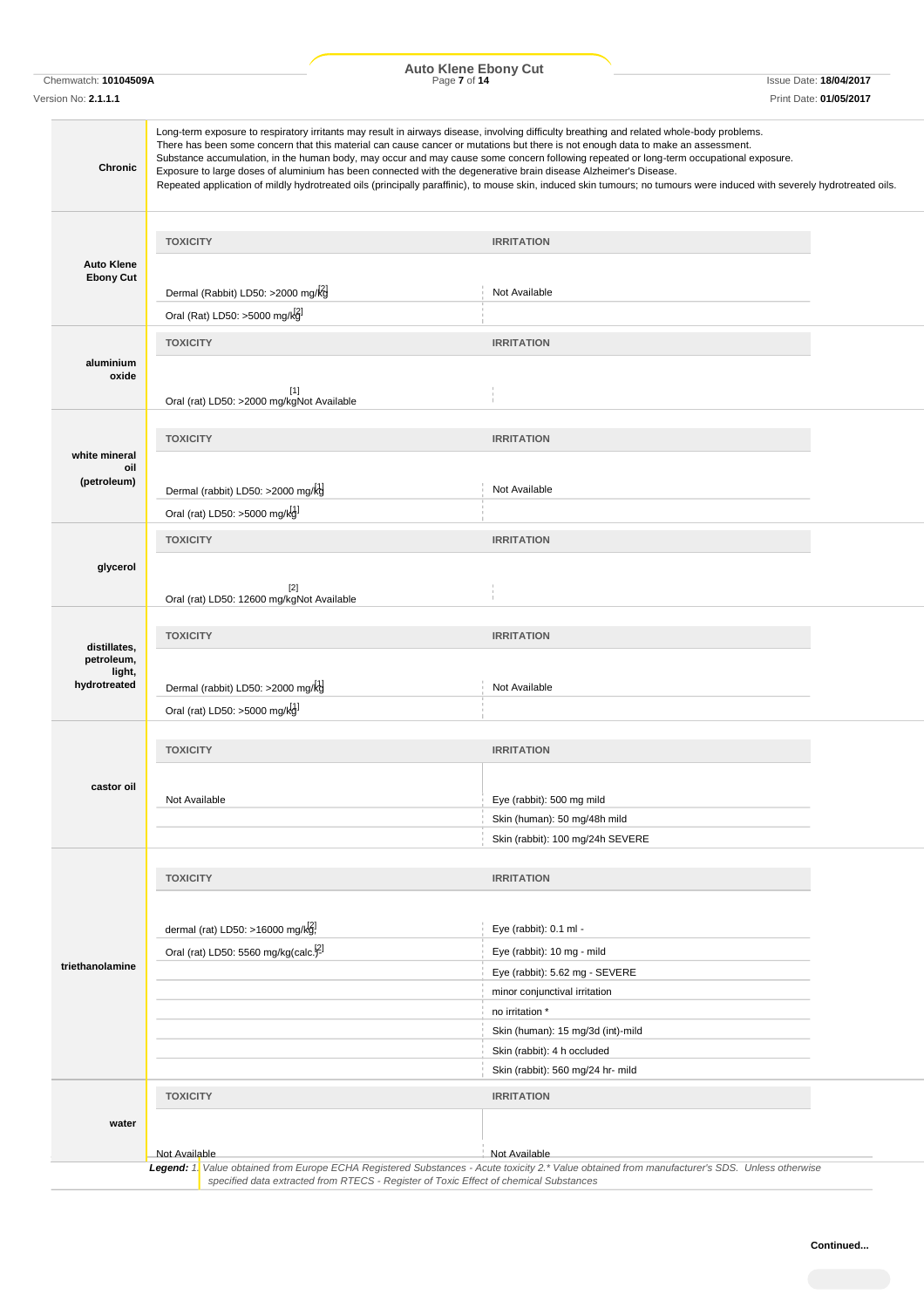Chemwatch: **10104509A** Page **7** of **14** Issue Date: **18/04/2017 Auto Klene Ebony Cut**

| Version No: <b>2.1.1.1</b>                           |                                                                   | Print Date: 01/05/2017                                                                                                                                                                                                                                                                                                                                                                                                                                                                                                                                                                                                                                                                                                   |
|------------------------------------------------------|-------------------------------------------------------------------|--------------------------------------------------------------------------------------------------------------------------------------------------------------------------------------------------------------------------------------------------------------------------------------------------------------------------------------------------------------------------------------------------------------------------------------------------------------------------------------------------------------------------------------------------------------------------------------------------------------------------------------------------------------------------------------------------------------------------|
| <b>Chronic</b>                                       |                                                                   | Long-term exposure to respiratory irritants may result in airways disease, involving difficulty breathing and related whole-body problems.<br>There has been some concern that this material can cause cancer or mutations but there is not enough data to make an assessment.<br>Substance accumulation, in the human body, may occur and may cause some concern following repeated or long-term occupational exposure.<br>Exposure to large doses of aluminium has been connected with the degenerative brain disease Alzheimer's Disease.<br>Repeated application of mildly hydrotreated oils (principally paraffinic), to mouse skin, induced skin tumours; no tumours were induced with severely hydrotreated oils. |
|                                                      | <b>TOXICITY</b>                                                   | <b>IRRITATION</b>                                                                                                                                                                                                                                                                                                                                                                                                                                                                                                                                                                                                                                                                                                        |
| <b>Auto Klene</b>                                    |                                                                   |                                                                                                                                                                                                                                                                                                                                                                                                                                                                                                                                                                                                                                                                                                                          |
| <b>Ebony Cut</b>                                     | Dermal (Rabbit) LD50: >2000 mg/kg                                 | Not Available                                                                                                                                                                                                                                                                                                                                                                                                                                                                                                                                                                                                                                                                                                            |
|                                                      | Oral (Rat) LD50: >5000 mg/kg]                                     |                                                                                                                                                                                                                                                                                                                                                                                                                                                                                                                                                                                                                                                                                                                          |
|                                                      | <b>TOXICITY</b>                                                   | <b>IRRITATION</b>                                                                                                                                                                                                                                                                                                                                                                                                                                                                                                                                                                                                                                                                                                        |
| aluminium<br>oxide                                   | $[1]$                                                             |                                                                                                                                                                                                                                                                                                                                                                                                                                                                                                                                                                                                                                                                                                                          |
|                                                      | Oral (rat) LD50: >2000 mg/kgNot Available                         |                                                                                                                                                                                                                                                                                                                                                                                                                                                                                                                                                                                                                                                                                                                          |
|                                                      | <b>TOXICITY</b>                                                   | <b>IRRITATION</b>                                                                                                                                                                                                                                                                                                                                                                                                                                                                                                                                                                                                                                                                                                        |
| white mineral<br>oil                                 |                                                                   |                                                                                                                                                                                                                                                                                                                                                                                                                                                                                                                                                                                                                                                                                                                          |
| (petroleum)                                          | Dermal (rabbit) LD50: >2000 mg/kg                                 | Not Available                                                                                                                                                                                                                                                                                                                                                                                                                                                                                                                                                                                                                                                                                                            |
|                                                      | Oral (rat) LD50: >5000 mg/kd <sup>1</sup>                         |                                                                                                                                                                                                                                                                                                                                                                                                                                                                                                                                                                                                                                                                                                                          |
|                                                      | <b>TOXICITY</b>                                                   | <b>IRRITATION</b>                                                                                                                                                                                                                                                                                                                                                                                                                                                                                                                                                                                                                                                                                                        |
| glycerol                                             | $[2]$<br>Oral (rat) LD50: 12600 mg/kgNot Available                |                                                                                                                                                                                                                                                                                                                                                                                                                                                                                                                                                                                                                                                                                                                          |
|                                                      | <b>TOXICITY</b>                                                   | <b>IRRITATION</b>                                                                                                                                                                                                                                                                                                                                                                                                                                                                                                                                                                                                                                                                                                        |
| distillates,<br>petroleum,<br>light,<br>hydrotreated | Dermal (rabbit) LD50: >2000 mg/kg<br>Oral (rat) LD50: >5000 mg/kg | Not Available                                                                                                                                                                                                                                                                                                                                                                                                                                                                                                                                                                                                                                                                                                            |
|                                                      |                                                                   |                                                                                                                                                                                                                                                                                                                                                                                                                                                                                                                                                                                                                                                                                                                          |
|                                                      | <b>TOXICITY</b>                                                   | <b>IRRITATION</b>                                                                                                                                                                                                                                                                                                                                                                                                                                                                                                                                                                                                                                                                                                        |
| castor oil                                           | Not Available                                                     | Eye (rabbit): 500 mg mild                                                                                                                                                                                                                                                                                                                                                                                                                                                                                                                                                                                                                                                                                                |
|                                                      |                                                                   | Skin (human): 50 mg/48h mild<br>Skin (rabbit): 100 mg/24h SEVERE                                                                                                                                                                                                                                                                                                                                                                                                                                                                                                                                                                                                                                                         |
|                                                      |                                                                   |                                                                                                                                                                                                                                                                                                                                                                                                                                                                                                                                                                                                                                                                                                                          |
|                                                      | <b>TOXICITY</b>                                                   | <b>IRRITATION</b>                                                                                                                                                                                                                                                                                                                                                                                                                                                                                                                                                                                                                                                                                                        |
|                                                      |                                                                   |                                                                                                                                                                                                                                                                                                                                                                                                                                                                                                                                                                                                                                                                                                                          |
|                                                      | dermal (rat) LD50: >16000 mg/kg!                                  | Eye (rabbit): 0.1 ml -                                                                                                                                                                                                                                                                                                                                                                                                                                                                                                                                                                                                                                                                                                   |
|                                                      | Oral (rat) LD50: 5560 mg/kg(calc. <sup>[2]</sup>                  | Eye (rabbit): 10 mg - mild                                                                                                                                                                                                                                                                                                                                                                                                                                                                                                                                                                                                                                                                                               |
| triethanolamine                                      |                                                                   | Eye (rabbit): 5.62 mg - SEVERE                                                                                                                                                                                                                                                                                                                                                                                                                                                                                                                                                                                                                                                                                           |
|                                                      |                                                                   | minor conjunctival irritation                                                                                                                                                                                                                                                                                                                                                                                                                                                                                                                                                                                                                                                                                            |
|                                                      |                                                                   | no irritation *                                                                                                                                                                                                                                                                                                                                                                                                                                                                                                                                                                                                                                                                                                          |
|                                                      |                                                                   | Skin (human): 15 mg/3d (int)-mild<br>Skin (rabbit): 4 h occluded                                                                                                                                                                                                                                                                                                                                                                                                                                                                                                                                                                                                                                                         |
|                                                      |                                                                   | Skin (rabbit): 560 mg/24 hr- mild                                                                                                                                                                                                                                                                                                                                                                                                                                                                                                                                                                                                                                                                                        |
|                                                      | <b>TOXICITY</b>                                                   | <b>IRRITATION</b>                                                                                                                                                                                                                                                                                                                                                                                                                                                                                                                                                                                                                                                                                                        |
|                                                      |                                                                   |                                                                                                                                                                                                                                                                                                                                                                                                                                                                                                                                                                                                                                                                                                                          |
| water                                                |                                                                   |                                                                                                                                                                                                                                                                                                                                                                                                                                                                                                                                                                                                                                                                                                                          |
|                                                      | Not Available                                                     | Not Available                                                                                                                                                                                                                                                                                                                                                                                                                                                                                                                                                                                                                                                                                                            |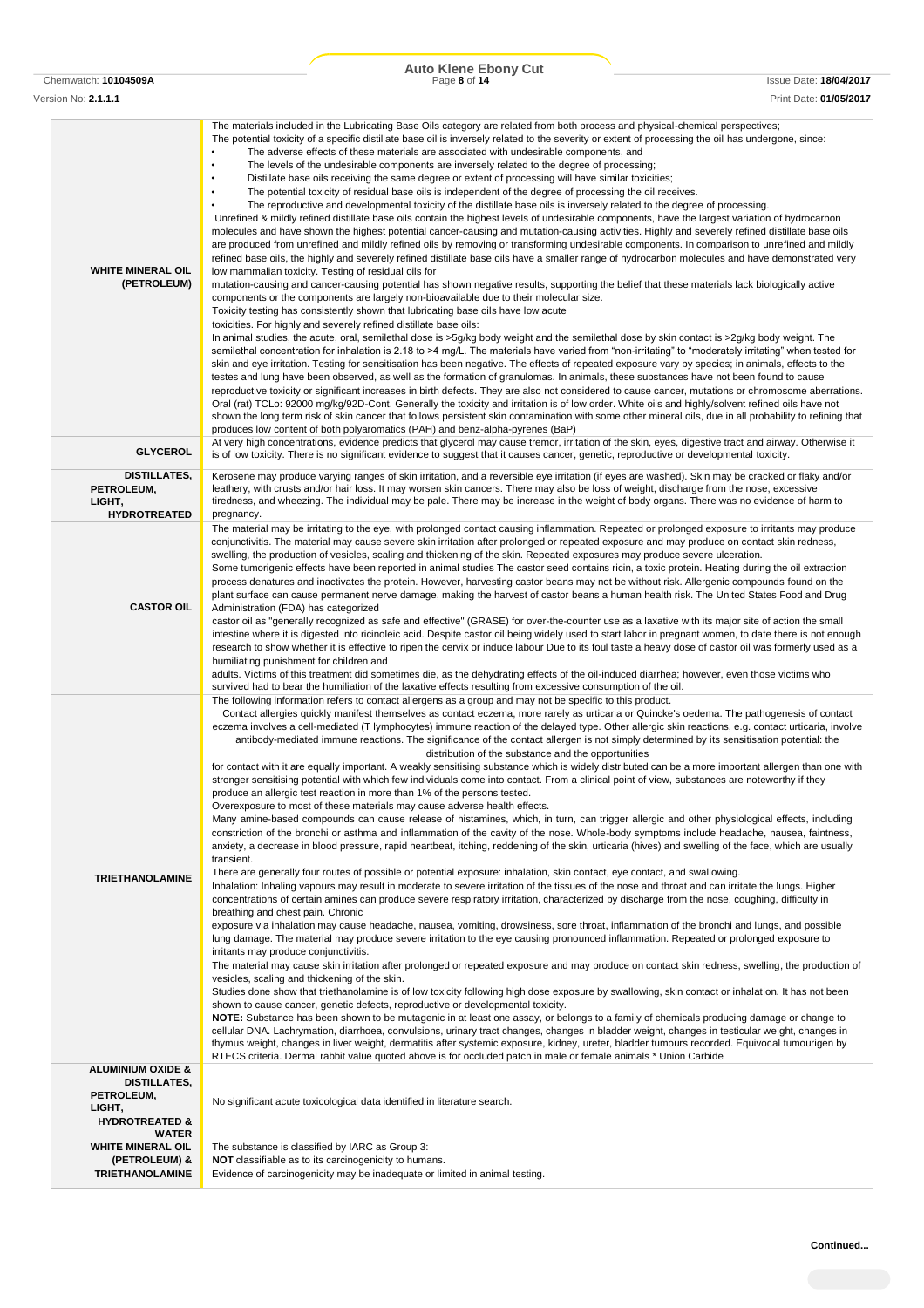|                                                                                                          | <b>Auto Klene Ebony Cut</b>                                                                                                                                                                                                                                                                                                                                                                                                                                                                                                                                                                                                                                                                                                                                                                                                                                                                                                                                                                                                                                                                                                                                                                                                                                                                                                                                                                                                                                                                                                                                                                                                                                                                                                                                                                                                                                                                                                                                                                                                                                                                                                                                                                                                                                                                                                                                                                                                                                                                                                                                                                                                                                                                                                                                                                                                                                                                                                                                                                                                                                                                                                                                                                                                                                                                                                                                                     |                                                         |
|----------------------------------------------------------------------------------------------------------|---------------------------------------------------------------------------------------------------------------------------------------------------------------------------------------------------------------------------------------------------------------------------------------------------------------------------------------------------------------------------------------------------------------------------------------------------------------------------------------------------------------------------------------------------------------------------------------------------------------------------------------------------------------------------------------------------------------------------------------------------------------------------------------------------------------------------------------------------------------------------------------------------------------------------------------------------------------------------------------------------------------------------------------------------------------------------------------------------------------------------------------------------------------------------------------------------------------------------------------------------------------------------------------------------------------------------------------------------------------------------------------------------------------------------------------------------------------------------------------------------------------------------------------------------------------------------------------------------------------------------------------------------------------------------------------------------------------------------------------------------------------------------------------------------------------------------------------------------------------------------------------------------------------------------------------------------------------------------------------------------------------------------------------------------------------------------------------------------------------------------------------------------------------------------------------------------------------------------------------------------------------------------------------------------------------------------------------------------------------------------------------------------------------------------------------------------------------------------------------------------------------------------------------------------------------------------------------------------------------------------------------------------------------------------------------------------------------------------------------------------------------------------------------------------------------------------------------------------------------------------------------------------------------------------------------------------------------------------------------------------------------------------------------------------------------------------------------------------------------------------------------------------------------------------------------------------------------------------------------------------------------------------------------------------------------------------------------------------------------------------------|---------------------------------------------------------|
| Chemwatch: 10104509A<br>Version No: 2.1.1.1                                                              | Page 8 of 14                                                                                                                                                                                                                                                                                                                                                                                                                                                                                                                                                                                                                                                                                                                                                                                                                                                                                                                                                                                                                                                                                                                                                                                                                                                                                                                                                                                                                                                                                                                                                                                                                                                                                                                                                                                                                                                                                                                                                                                                                                                                                                                                                                                                                                                                                                                                                                                                                                                                                                                                                                                                                                                                                                                                                                                                                                                                                                                                                                                                                                                                                                                                                                                                                                                                                                                                                                    | <b>Issue Date: 18/04/2017</b><br>Print Date: 01/05/2017 |
| <b>WHITE MINERAL OIL</b><br>(PETROLEUM)                                                                  | The materials included in the Lubricating Base Oils category are related from both process and physical-chemical perspectives;<br>The potential toxicity of a specific distillate base oil is inversely related to the severity or extent of processing the oil has undergone, since:<br>The adverse effects of these materials are associated with undesirable components, and<br>$\bullet$<br>$\bullet$<br>The levels of the undesirable components are inversely related to the degree of processing;<br>$\bullet$<br>Distillate base oils receiving the same degree or extent of processing will have similar toxicities;<br>$\bullet$<br>The potential toxicity of residual base oils is independent of the degree of processing the oil receives.<br>$\bullet$<br>The reproductive and developmental toxicity of the distillate base oils is inversely related to the degree of processing.<br>Unrefined & mildly refined distillate base oils contain the highest levels of undesirable components, have the largest variation of hydrocarbon<br>molecules and have shown the highest potential cancer-causing and mutation-causing activities. Highly and severely refined distillate base oils<br>are produced from unrefined and mildly refined oils by removing or transforming undesirable components. In comparison to unrefined and mildly<br>refined base oils, the highly and severely refined distillate base oils have a smaller range of hydrocarbon molecules and have demonstrated very<br>low mammalian toxicity. Testing of residual oils for<br>mutation-causing and cancer-causing potential has shown negative results, supporting the belief that these materials lack biologically active<br>components or the components are largely non-bioavailable due to their molecular size.<br>Toxicity testing has consistently shown that lubricating base oils have low acute<br>toxicities. For highly and severely refined distillate base oils:<br>In animal studies, the acute, oral, semilethal dose is >5g/kg body weight and the semilethal dose by skin contact is >2g/kg body weight. The<br>semilethal concentration for inhalation is 2.18 to >4 mg/L. The materials have varied from "non-irritating" to "moderately irritating" when tested for<br>skin and eye irritation. Testing for sensitisation has been negative. The effects of repeated exposure vary by species; in animals, effects to the<br>testes and lung have been observed, as well as the formation of granulomas. In animals, these substances have not been found to cause<br>reproductive toxicity or significant increases in birth defects. They are also not considered to cause cancer, mutations or chromosome aberrations.<br>Oral (rat) TCLo: 92000 mg/kg/92D-Cont. Generally the toxicity and irritation is of low order. White oils and highly/solvent refined oils have not<br>shown the long term risk of skin cancer that follows persistent skin contamination with some other mineral oils, due in all probability to refining that<br>produces low content of both polyaromatics (PAH) and benz-alpha-pyrenes (BaP)                                                                                                                                                                                                                                     |                                                         |
| <b>GLYCEROL</b>                                                                                          | At very high concentrations, evidence predicts that glycerol may cause tremor, irritation of the skin, eyes, digestive tract and airway. Otherwise it<br>is of low toxicity. There is no significant evidence to suggest that it causes cancer, genetic, reproductive or developmental toxicity.                                                                                                                                                                                                                                                                                                                                                                                                                                                                                                                                                                                                                                                                                                                                                                                                                                                                                                                                                                                                                                                                                                                                                                                                                                                                                                                                                                                                                                                                                                                                                                                                                                                                                                                                                                                                                                                                                                                                                                                                                                                                                                                                                                                                                                                                                                                                                                                                                                                                                                                                                                                                                                                                                                                                                                                                                                                                                                                                                                                                                                                                                |                                                         |
| DISTILLATES,<br>PETROLEUM,<br>LIGHT,<br><b>HYDROTREATED</b>                                              | Kerosene may produce varying ranges of skin irritation, and a reversible eye irritation (if eyes are washed). Skin may be cracked or flaky and/or<br>leathery, with crusts and/or hair loss. It may worsen skin cancers. There may also be loss of weight, discharge from the nose, excessive<br>tiredness, and wheezing. The individual may be pale. There may be increase in the weight of body organs. There was no evidence of harm to<br>pregnancy.                                                                                                                                                                                                                                                                                                                                                                                                                                                                                                                                                                                                                                                                                                                                                                                                                                                                                                                                                                                                                                                                                                                                                                                                                                                                                                                                                                                                                                                                                                                                                                                                                                                                                                                                                                                                                                                                                                                                                                                                                                                                                                                                                                                                                                                                                                                                                                                                                                                                                                                                                                                                                                                                                                                                                                                                                                                                                                                        |                                                         |
| <b>CASTOR OIL</b>                                                                                        | The material may be irritating to the eye, with prolonged contact causing inflammation. Repeated or prolonged exposure to irritants may produce<br>conjunctivitis. The material may cause severe skin irritation after prolonged or repeated exposure and may produce on contact skin redness,<br>swelling, the production of vesicles, scaling and thickening of the skin. Repeated exposures may produce severe ulceration.<br>Some tumorigenic effects have been reported in animal studies The castor seed contains ricin, a toxic protein. Heating during the oil extraction<br>process denatures and inactivates the protein. However, harvesting castor beans may not be without risk. Allergenic compounds found on the<br>plant surface can cause permanent nerve damage, making the harvest of castor beans a human health risk. The United States Food and Drug<br>Administration (FDA) has categorized<br>castor oil as "generally recognized as safe and effective" (GRASE) for over-the-counter use as a laxative with its major site of action the small<br>intestine where it is digested into ricinoleic acid. Despite castor oil being widely used to start labor in pregnant women, to date there is not enough<br>research to show whether it is effective to ripen the cervix or induce labour Due to its foul taste a heavy dose of castor oil was formerly used as a<br>humiliating punishment for children and<br>adults. Victims of this treatment did sometimes die, as the dehydrating effects of the oil-induced diarrhea; however, even those victims who<br>survived had to bear the humiliation of the laxative effects resulting from excessive consumption of the oil.                                                                                                                                                                                                                                                                                                                                                                                                                                                                                                                                                                                                                                                                                                                                                                                                                                                                                                                                                                                                                                                                                                                                                                                                                                                                                                                                                                                                                                                                                                                                                                                                                                                                         |                                                         |
| <b>TRIETHANOLAMINE</b>                                                                                   | The following information refers to contact allergens as a group and may not be specific to this product.<br>Contact allergies quickly manifest themselves as contact eczema, more rarely as urticaria or Quincke's oedema. The pathogenesis of contact<br>eczema involves a cell-mediated (T lymphocytes) immune reaction of the delayed type. Other allergic skin reactions, e.g. contact urticaria, involve<br>antibody-mediated immune reactions. The significance of the contact allergen is not simply determined by its sensitisation potential: the<br>distribution of the substance and the opportunities<br>for contact with it are equally important. A weakly sensitising substance which is widely distributed can be a more important allergen than one with<br>stronger sensitising potential with which few individuals come into contact. From a clinical point of view, substances are noteworthy if they<br>produce an allergic test reaction in more than 1% of the persons tested.<br>Overexposure to most of these materials may cause adverse health effects.<br>Many amine-based compounds can cause release of histamines, which, in turn, can trigger allergic and other physiological effects, including<br>constriction of the bronchi or asthma and inflammation of the cavity of the nose. Whole-body symptoms include headache, nausea, faintness,<br>anxiety, a decrease in blood pressure, rapid heartbeat, itching, reddening of the skin, urticaria (hives) and swelling of the face, which are usually<br>transient.<br>There are generally four routes of possible or potential exposure: inhalation, skin contact, eye contact, and swallowing.<br>Inhalation: Inhaling vapours may result in moderate to severe irritation of the tissues of the nose and throat and can irritate the lungs. Higher<br>concentrations of certain amines can produce severe respiratory irritation, characterized by discharge from the nose, coughing, difficulty in<br>breathing and chest pain. Chronic<br>exposure via inhalation may cause headache, nausea, vomiting, drowsiness, sore throat, inflammation of the bronchi and lungs, and possible<br>lung damage. The material may produce severe irritation to the eye causing pronounced inflammation. Repeated or prolonged exposure to<br>irritants may produce conjunctivitis.<br>The material may cause skin irritation after prolonged or repeated exposure and may produce on contact skin redness, swelling, the production of<br>vesicles, scaling and thickening of the skin.<br>Studies done show that triethanolamine is of low toxicity following high dose exposure by swallowing, skin contact or inhalation. It has not been<br>shown to cause cancer, genetic defects, reproductive or developmental toxicity.<br>NOTE: Substance has been shown to be mutagenic in at least one assay, or belongs to a family of chemicals producing damage or change to<br>cellular DNA. Lachrymation, diarrhoea, convulsions, urinary tract changes, changes in bladder weight, changes in testicular weight, changes in<br>thymus weight, changes in liver weight, dermatitis after systemic exposure, kidney, ureter, bladder tumours recorded. Equivocal tumourigen by<br>RTECS criteria. Dermal rabbit value quoted above is for occluded patch in male or female animals * Union Carbide |                                                         |
| <b>ALUMINIUM OXIDE &amp;</b><br><b>DISTILLATES,</b><br>PETROLEUM,<br>LIGHT,<br><b>HYDROTREATED &amp;</b> | No significant acute toxicological data identified in literature search.                                                                                                                                                                                                                                                                                                                                                                                                                                                                                                                                                                                                                                                                                                                                                                                                                                                                                                                                                                                                                                                                                                                                                                                                                                                                                                                                                                                                                                                                                                                                                                                                                                                                                                                                                                                                                                                                                                                                                                                                                                                                                                                                                                                                                                                                                                                                                                                                                                                                                                                                                                                                                                                                                                                                                                                                                                                                                                                                                                                                                                                                                                                                                                                                                                                                                                        |                                                         |
| <b>WATER</b><br><b>WHITE MINERAL OIL</b>                                                                 | The substance is classified by IARC as Group 3:                                                                                                                                                                                                                                                                                                                                                                                                                                                                                                                                                                                                                                                                                                                                                                                                                                                                                                                                                                                                                                                                                                                                                                                                                                                                                                                                                                                                                                                                                                                                                                                                                                                                                                                                                                                                                                                                                                                                                                                                                                                                                                                                                                                                                                                                                                                                                                                                                                                                                                                                                                                                                                                                                                                                                                                                                                                                                                                                                                                                                                                                                                                                                                                                                                                                                                                                 |                                                         |
| (PETROLEUM) &<br><b>TRIETHANOLAMINE</b>                                                                  | <b>NOT</b> classifiable as to its carcinogenicity to humans.<br>Evidence of carcinogenicity may be inadequate or limited in animal testing.                                                                                                                                                                                                                                                                                                                                                                                                                                                                                                                                                                                                                                                                                                                                                                                                                                                                                                                                                                                                                                                                                                                                                                                                                                                                                                                                                                                                                                                                                                                                                                                                                                                                                                                                                                                                                                                                                                                                                                                                                                                                                                                                                                                                                                                                                                                                                                                                                                                                                                                                                                                                                                                                                                                                                                                                                                                                                                                                                                                                                                                                                                                                                                                                                                     |                                                         |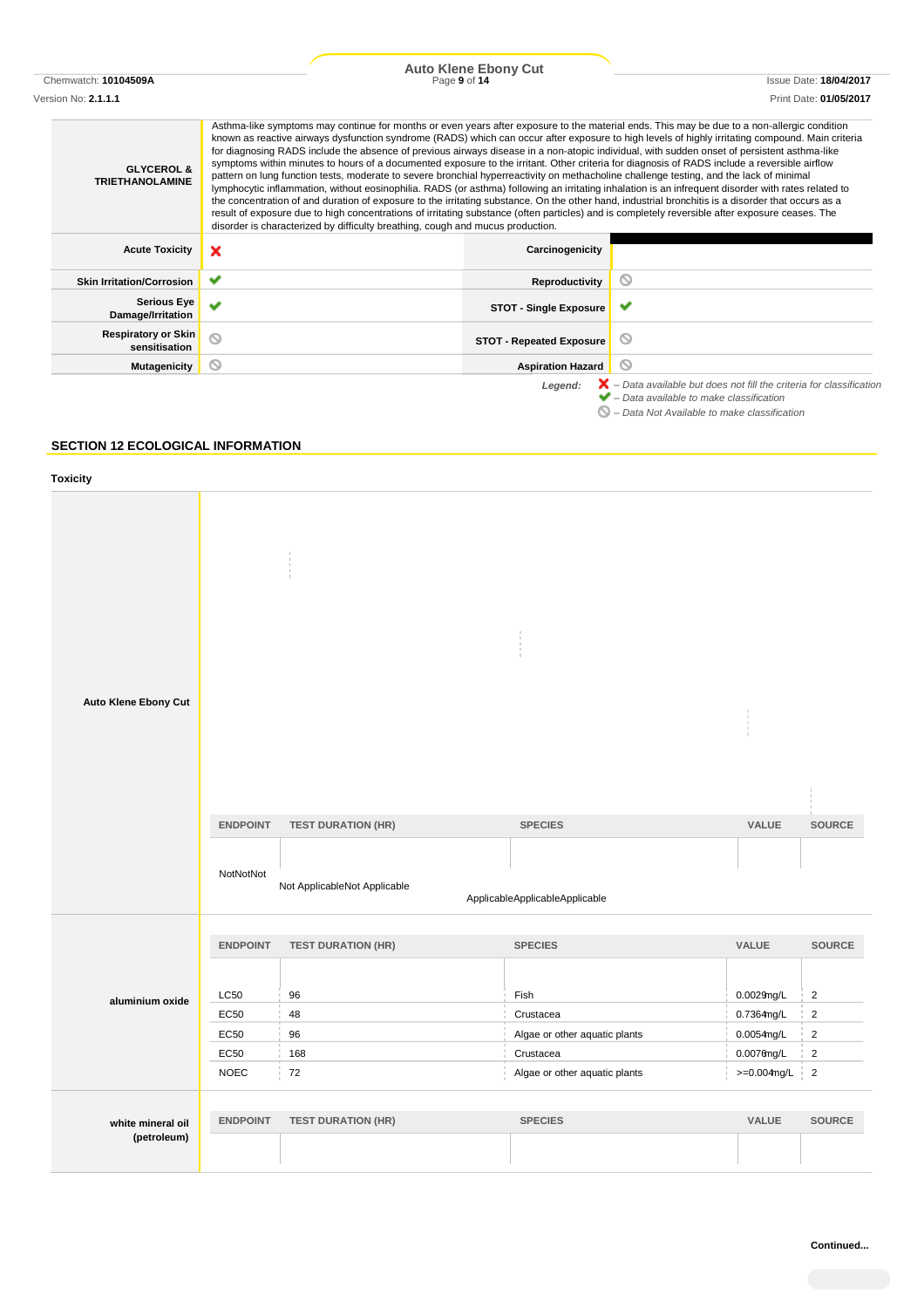# Chemwatch: **10104509A** Page **9** of **14** Issue Date: **18/04/2017 Auto Klene Ebony Cut**

Version No: **2.1.1.1** Print Date: **01/05/2017**

| <b>GLYCEROL &amp;</b><br><b>TRIETHANOLAMINE</b> | Asthma-like symptoms may continue for months or even years after exposure to the material ends. This may be due to a non-allergic condition<br>for diagnosing RADS include the absence of previous airways disease in a non-atopic individual, with sudden onset of persistent asthma-like<br>symptoms within minutes to hours of a documented exposure to the irritant. Other criteria for diagnosis of RADS include a reversible airflow<br>pattern on lung function tests, moderate to severe bronchial hyperreactivity on methacholine challenge testing, and the lack of minimal<br>lymphocytic inflammation, without eosinophilia. RADS (or asthma) following an irritating inhalation is an infrequent disorder with rates related to<br>the concentration of and duration of exposure to the irritating substance. On the other hand, industrial bronchitis is a disorder that occurs as a<br>result of exposure due to high concentrations of irritating substance (often particles) and is completely reversible after exposure ceases. The<br>disorder is characterized by difficulty breathing, cough and mucus production. |                                 | known as reactive airways dysfunction syndrome (RADS) which can occur after exposure to high levels of highly irritating compound. Main criteria                                                         |
|-------------------------------------------------|-----------------------------------------------------------------------------------------------------------------------------------------------------------------------------------------------------------------------------------------------------------------------------------------------------------------------------------------------------------------------------------------------------------------------------------------------------------------------------------------------------------------------------------------------------------------------------------------------------------------------------------------------------------------------------------------------------------------------------------------------------------------------------------------------------------------------------------------------------------------------------------------------------------------------------------------------------------------------------------------------------------------------------------------------------------------------------------------------------------------------------------------|---------------------------------|----------------------------------------------------------------------------------------------------------------------------------------------------------------------------------------------------------|
| <b>Acute Toxicity</b>                           | ×                                                                                                                                                                                                                                                                                                                                                                                                                                                                                                                                                                                                                                                                                                                                                                                                                                                                                                                                                                                                                                                                                                                                       | Carcinogenicity                 |                                                                                                                                                                                                          |
| <b>Skin Irritation/Corrosion</b>                |                                                                                                                                                                                                                                                                                                                                                                                                                                                                                                                                                                                                                                                                                                                                                                                                                                                                                                                                                                                                                                                                                                                                         | Reproductivity                  | Q                                                                                                                                                                                                        |
| <b>Serious Eye</b><br>Damage/Irritation         |                                                                                                                                                                                                                                                                                                                                                                                                                                                                                                                                                                                                                                                                                                                                                                                                                                                                                                                                                                                                                                                                                                                                         | <b>STOT - Single Exposure</b>   |                                                                                                                                                                                                          |
| <b>Respiratory or Skin</b><br>sensitisation     | ര                                                                                                                                                                                                                                                                                                                                                                                                                                                                                                                                                                                                                                                                                                                                                                                                                                                                                                                                                                                                                                                                                                                                       | <b>STOT - Repeated Exposure</b> |                                                                                                                                                                                                          |
| <b>Mutagenicity</b>                             | $\scriptstyle\sim$                                                                                                                                                                                                                                                                                                                                                                                                                                                                                                                                                                                                                                                                                                                                                                                                                                                                                                                                                                                                                                                                                                                      | <b>Aspiration Hazard</b>        | N                                                                                                                                                                                                        |
|                                                 |                                                                                                                                                                                                                                                                                                                                                                                                                                                                                                                                                                                                                                                                                                                                                                                                                                                                                                                                                                                                                                                                                                                                         | Legend:                         | $\blacktriangleright$ – Data available but does not fill the criteria for classification<br>$\blacktriangleright$ - Data available to make classification<br>- Data Not Available to make classification |

## **SECTION 12 ECOLOGICAL INFORMATION**

| Toxicity                         |                              |                                                           |                                                  |                |                |
|----------------------------------|------------------------------|-----------------------------------------------------------|--------------------------------------------------|----------------|----------------|
| Auto Klene Ebony Cut             | <b>ENDPOINT</b><br>NotNotNot | <b>TEST DURATION (HR)</b><br>Not ApplicableNot Applicable | <b>SPECIES</b><br>ApplicableApplicableApplicable | VALUE          | SOURCE         |
|                                  | <b>ENDPOINT</b>              | <b>TEST DURATION (HR)</b>                                 | <b>SPECIES</b>                                   | VALUE          | <b>SOURCE</b>  |
| aluminium oxide                  | <b>LC50</b>                  | 96                                                        | Fish                                             | $0.0029$ ng/L  | $\overline{2}$ |
|                                  | EC50                         | 48                                                        | Crustacea                                        | 0.7364mg/L     | $\overline{2}$ |
|                                  | EC50                         | 96                                                        | Algae or other aquatic plants                    | $0.0054$ mg/L  | $\sqrt{2}$     |
|                                  | EC50                         | 168                                                       | Crustacea                                        | $0.0076$ ng/L  | $\sqrt{2}$     |
|                                  | <b>NOEC</b>                  | 72                                                        | Algae or other aquatic plants                    | $>=0.004$ mg/L | $\sqrt{2}$     |
| white mineral oil<br>(petroleum) | <b>ENDPOINT</b>              | <b>TEST DURATION (HR)</b>                                 | <b>SPECIES</b>                                   | VALUE          | <b>SOURCE</b>  |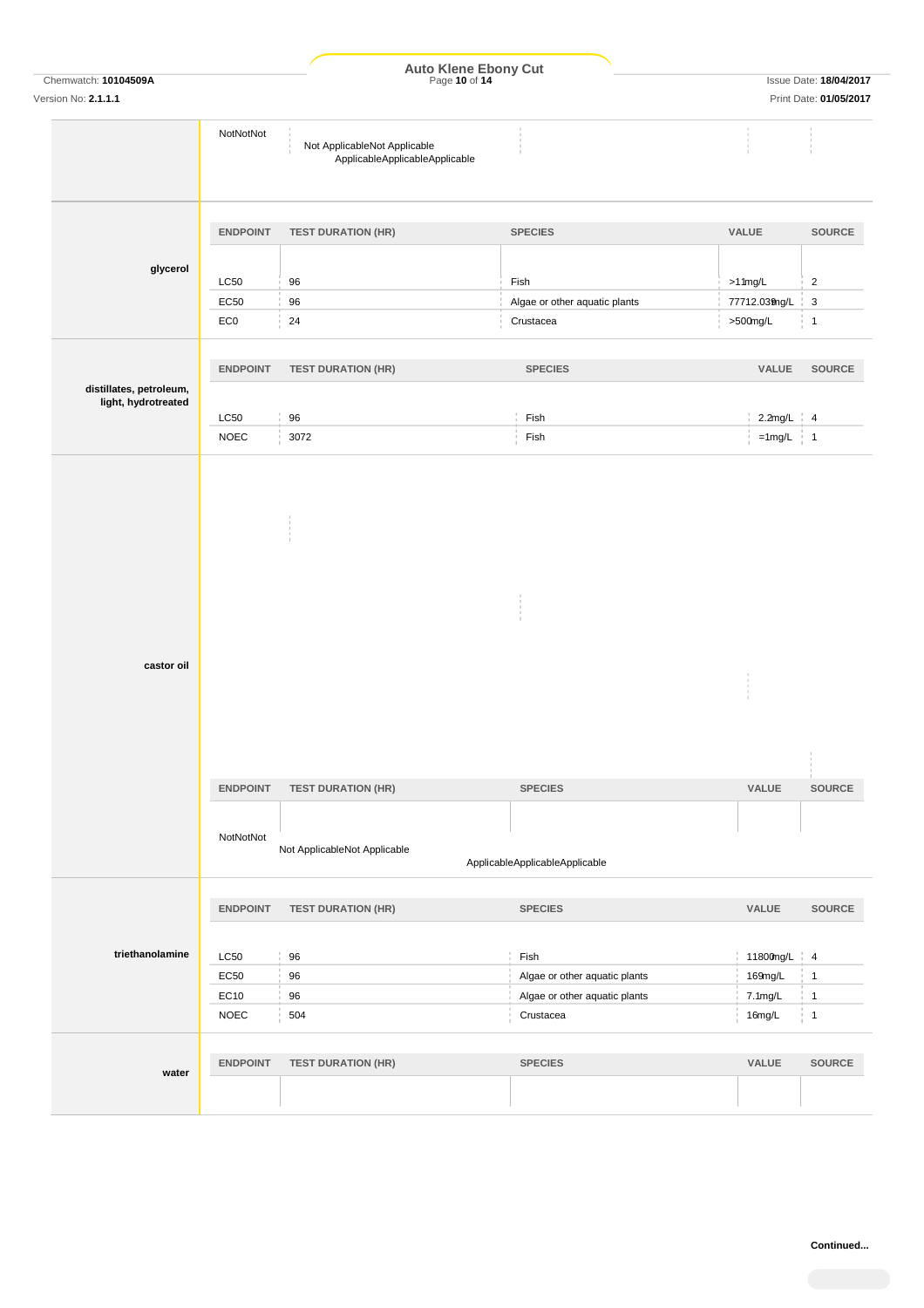|                                                |                              |                                                                | Auto Klene Ebony Cut<br>Page 10 of 14            |                         | <b>Issue Date: 18/04/2017</b>      |
|------------------------------------------------|------------------------------|----------------------------------------------------------------|--------------------------------------------------|-------------------------|------------------------------------|
| Chemwatch: 10104509A<br>Version No: 2.1.1.1    |                              |                                                                |                                                  |                         | Print Date: 01/05/2017             |
|                                                | NotNotNot                    | Not ApplicableNot Applicable<br>ApplicableApplicableApplicable |                                                  |                         |                                    |
|                                                | <b>ENDPOINT</b>              | <b>TEST DURATION (HR)</b>                                      | <b>SPECIES</b>                                   | VALUE                   | SOURCE                             |
| glycerol                                       |                              |                                                                |                                                  |                         |                                    |
|                                                | LC50                         | 96                                                             | Fish                                             | $>1$ 1mg/L              | $\overline{2}$                     |
|                                                | EC50                         | 96                                                             | Algae or other aquatic plants                    | 77712.039ng/L           | $\mathbf{3}$                       |
|                                                | EC0                          | 24                                                             | Crustacea                                        | >500mg/L                | $\overline{1}$                     |
|                                                | <b>ENDPOINT</b>              | <b>TEST DURATION (HR)</b>                                      | <b>SPECIES</b>                                   | VALUE                   | <b>SOURCE</b>                      |
| distillates, petroleum,<br>light, hydrotreated |                              |                                                                |                                                  |                         |                                    |
|                                                | LC50<br><b>NOEC</b>          | 96<br>3072                                                     | Fish<br>Fish                                     | $2.2$ mg/L<br>$=1$ mg/L | $\frac{1}{2}$ 4<br>$\frac{1}{2}$ 1 |
| castor oil                                     |                              |                                                                |                                                  |                         |                                    |
|                                                | <b>ENDPOINT</b><br>NotNotNot | <b>TEST DURATION (HR)</b><br>Not ApplicableNot Applicable      | <b>SPECIES</b><br>ApplicableApplicableApplicable | <b>VALUE</b>            | SOURCE                             |
|                                                |                              |                                                                |                                                  |                         |                                    |
|                                                | <b>ENDPOINT</b>              | <b>TEST DURATION (HR)</b>                                      | <b>SPECIES</b>                                   | VALUE                   | SOURCE                             |
|                                                |                              |                                                                | Fish                                             | 11800mg/L 4             |                                    |
| triethanolamine                                | LC50                         | 96                                                             |                                                  |                         |                                    |
|                                                |                              |                                                                |                                                  |                         | $\overline{1}$                     |
|                                                | EC50                         | 96                                                             | Algae or other aquatic plants                    | 169mg/L                 | $\overline{1}$                     |
|                                                | EC10<br><b>NOEC</b>          | 96<br>504                                                      | Algae or other aquatic plants<br>Crustacea       | 7.1mg/L<br>16mg/L       | $\overline{1}$                     |
|                                                |                              |                                                                |                                                  |                         |                                    |
| water                                          | <b>ENDPOINT</b>              | <b>TEST DURATION (HR)</b>                                      | <b>SPECIES</b>                                   | VALUE                   | <b>SOURCE</b>                      |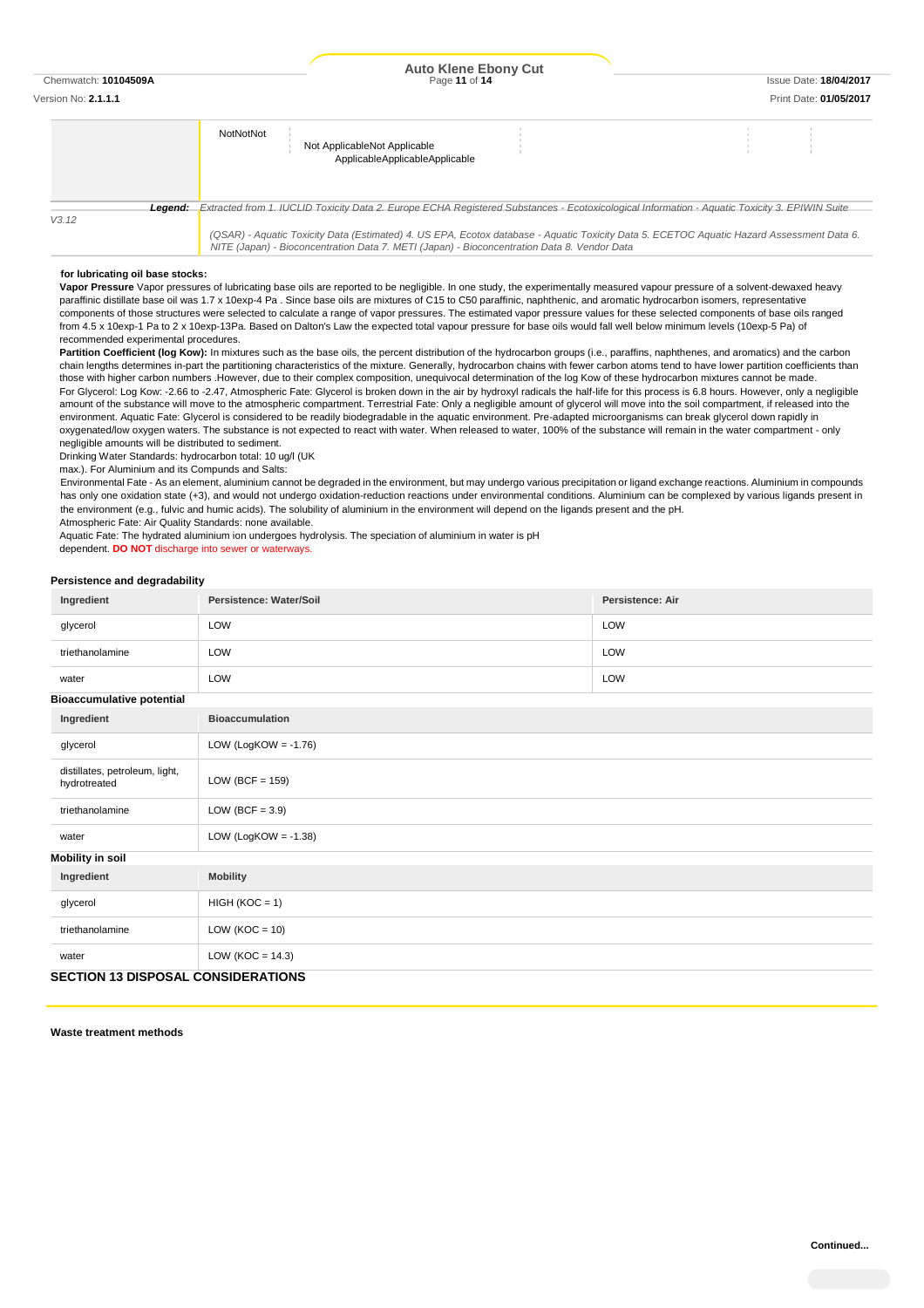# Chemwatch: **10104509A** Page **11** of **14** Issue Date: **18/04/2017 Auto Klene Ebony Cut**

| Version No: <b>2.1.1.1</b> |  | 105/2017<br>Pri<br>-- |
|----------------------------|--|-----------------------|
|                            |  |                       |
|                            |  |                       |

|         | NotNotNot<br>Not ApplicableNot Applicable<br>ApplicableApplicableApplicable                                                                   |
|---------|-----------------------------------------------------------------------------------------------------------------------------------------------|
| Leaend: | Extracted from 1. IUCLID Toxicity Data 2. Europe ECHA Registered Substances - Ecotoxicological Information - Aquatic Toxicity 3. EPIWIN Suite |
| V3.12   |                                                                                                                                               |
|         | (QSAR) - Aquatic Toxicity Data (Estimated) 4. US EPA, Ecotox database - Aquatic Toxicity Data 5. ECETOC Aquatic Hazard Assessment Data 6.     |
|         | NITE (Japan) - Bioconcentration Data 7. METI (Japan) - Bioconcentration Data 8. Vendor Data                                                   |

#### **for lubricating oil base stocks:**

**Vapor Pressure** Vapor pressures of lubricating base oils are reported to be negligible. In one study, the experimentally measured vapour pressure of a solvent-dewaxed heavy paraffinic distillate base oil was 1.7 x 10exp-4 Pa . Since base oils are mixtures of C15 to C50 paraffinic, naphthenic, and aromatic hydrocarbon isomers, representative components of those structures were selected to calculate a range of vapor pressures. The estimated vapor pressure values for these selected components of base oils ranged from 4.5 x 10exp-1 Pa to 2 x 10exp-13Pa. Based on Dalton's Law the expected total vapour pressure for base oils would fall well below minimum levels (10exp-5 Pa) of recommended experimental procedures.

Partition Coefficient (log Kow): In mixtures such as the base oils, the percent distribution of the hydrocarbon groups (i.e., paraffins, naphthenes, and aromatics) and the carbon chain lengths determines in-part the partitioning characteristics of the mixture. Generally, hydrocarbon chains with fewer carbon atoms tend to have lower partition coefficients than those with higher carbon numbers .However, due to their complex composition, unequivocal determination of the log Kow of these hydrocarbon mixtures cannot be made. For Glycerol: Log Kow: -2.66 to -2.47, Atmospheric Fate: Glycerol is broken down in the air by hydroxyl radicals the half-life for this process is 6.8 hours. However, only a negligible amount of the substance will move to the atmospheric compartment. Terrestrial Fate: Only a negligible amount of glycerol will move into the soil compartment, if released into the environment. Aquatic Fate: Glycerol is considered to be readily biodegradable in the aquatic environment. Pre-adapted microorganisms can break glycerol down rapidly in oxygenated/low oxygen waters. The substance is not expected to react with water. When released to water, 100% of the substance will remain in the water compartment - only negligible amounts will be distributed to sediment.

Drinking Water Standards: hydrocarbon total: 10 ug/l (UK

max.). For Aluminium and its Compunds and Salts:

Environmental Fate - As an element, aluminium cannot be degraded in the environment, but may undergo various precipitation or ligand exchange reactions. Aluminium in compounds has only one oxidation state (+3), and would not undergo oxidation-reduction reactions under environmental conditions. Aluminium can be complexed by various ligands present in the environment (e.g., fulvic and humic acids). The solubility of aluminium in the environment will depend on the ligands present and the pH. Atmospheric Fate: Air Quality Standards: none available.

Aquatic Fate: The hydrated aluminium ion undergoes hydrolysis. The speciation of aluminium in water is pH

dependent. **DO NOT** discharge into sewer or waterways.

#### **Persistence and degradability**

| Ingredient                                     | Persistence: Water/Soil | <b>Persistence: Air</b> |  |
|------------------------------------------------|-------------------------|-------------------------|--|
| glycerol                                       | LOW                     | LOW                     |  |
| triethanolamine                                | LOW                     | LOW                     |  |
| water                                          | LOW                     | LOW                     |  |
| <b>Bioaccumulative potential</b>               |                         |                         |  |
| Ingredient                                     | <b>Bioaccumulation</b>  |                         |  |
| glycerol                                       | LOW (LogKOW = $-1.76$ ) |                         |  |
| distillates, petroleum, light,<br>hydrotreated | LOW (BCF = $159$ )      |                         |  |
| triethanolamine                                | LOW (BCF = $3.9$ )      |                         |  |
| water                                          | LOW (LogKOW = $-1.38$ ) |                         |  |
| <b>Mobility in soil</b>                        |                         |                         |  |
| Ingredient                                     | <b>Mobility</b>         |                         |  |
| glycerol                                       | $HIGH (KOC = 1)$        |                         |  |
| triethanolamine                                | LOW ( $KOC = 10$ )      |                         |  |
| water                                          | LOW ( $KOC = 14.3$ )    |                         |  |
| <b>SECTION 13 DISPOSAL CONSIDERATIONS</b>      |                         |                         |  |

**Waste treatment methods**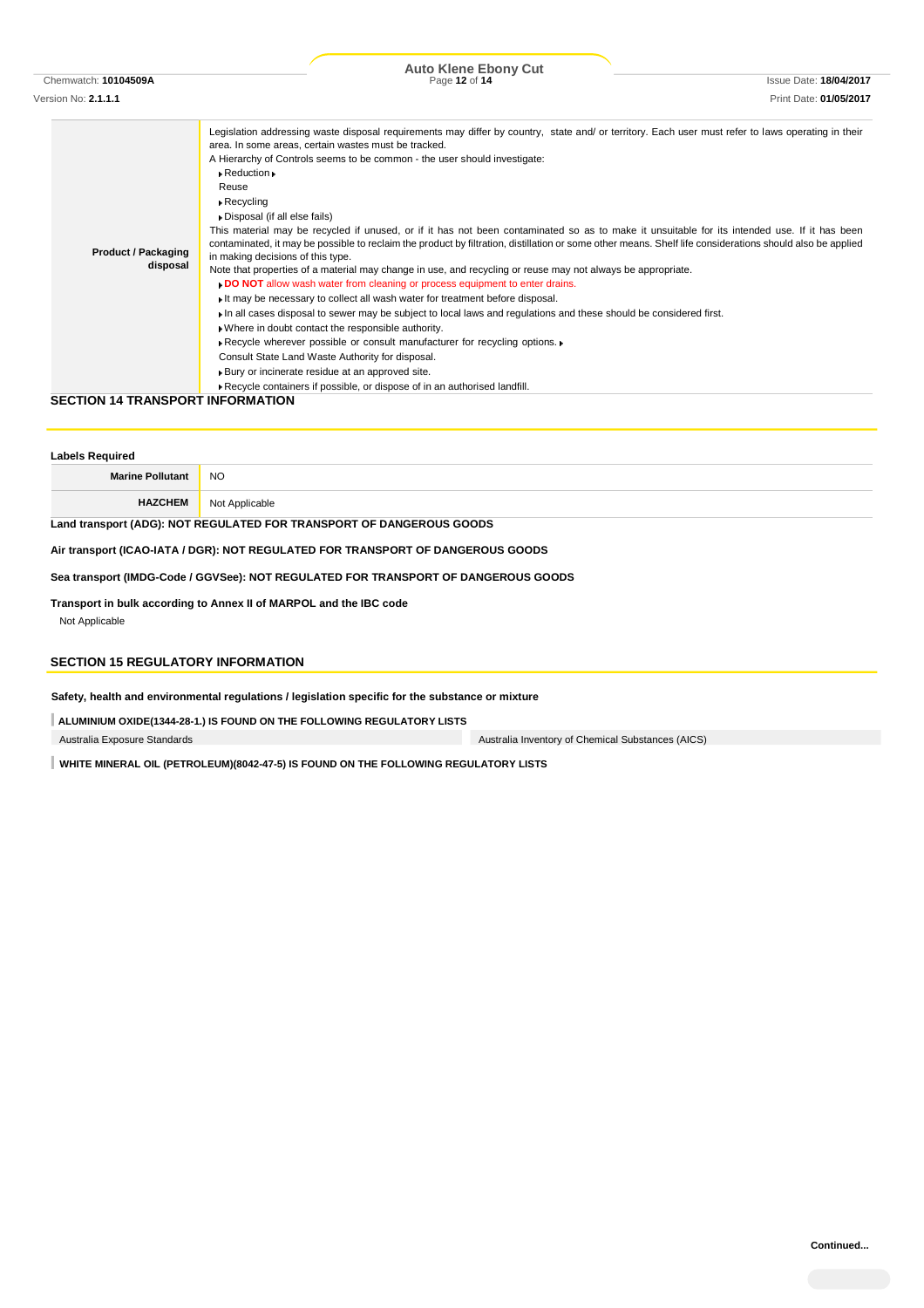Version No: **2.1.1.1** Print Date: **01/05/2017**

Chemwatch: **10104509A** Page **12** of **14** Issue Date: **18/04/2017 Auto Klene Ebony Cut**

| <b>Product / Packaging</b><br>disposal |
|----------------------------------------|

### **SECTION 14 TRANSPORT INFORMATION**

| <b>Labels Required</b>                                                          |                |  |
|---------------------------------------------------------------------------------|----------------|--|
| <b>Marine Pollutant</b>                                                         | NO.            |  |
| <b>HAZCHEM</b>                                                                  | Not Applicable |  |
| Land transport (ADG): NOT REGULATED FOR TRANSPORT OF DANGEROUS GOODS            |                |  |
| Air transport (ICAO-IATA / DGR): NOT REGULATED FOR TRANSPORT OF DANGEROUS GOODS |                |  |

**Sea transport (IMDG-Code / GGVSee): NOT REGULATED FOR TRANSPORT OF DANGEROUS GOODS**

**Transport in bulk according to Annex II of MARPOL and the IBC code** Not Applicable

## **SECTION 15 REGULATORY INFORMATION**

**Safety, health and environmental regulations / legislation specific for the substance or mixture**

**ALUMINIUM OXIDE(1344-28-1.) IS FOUND ON THE FOLLOWING REGULATORY LISTS**

Australia Exposure Standards Australia Inventory of Chemical Substances (AICS)

**WHITE MINERAL OIL (PETROLEUM)(8042-47-5) IS FOUND ON THE FOLLOWING REGULATORY LISTS**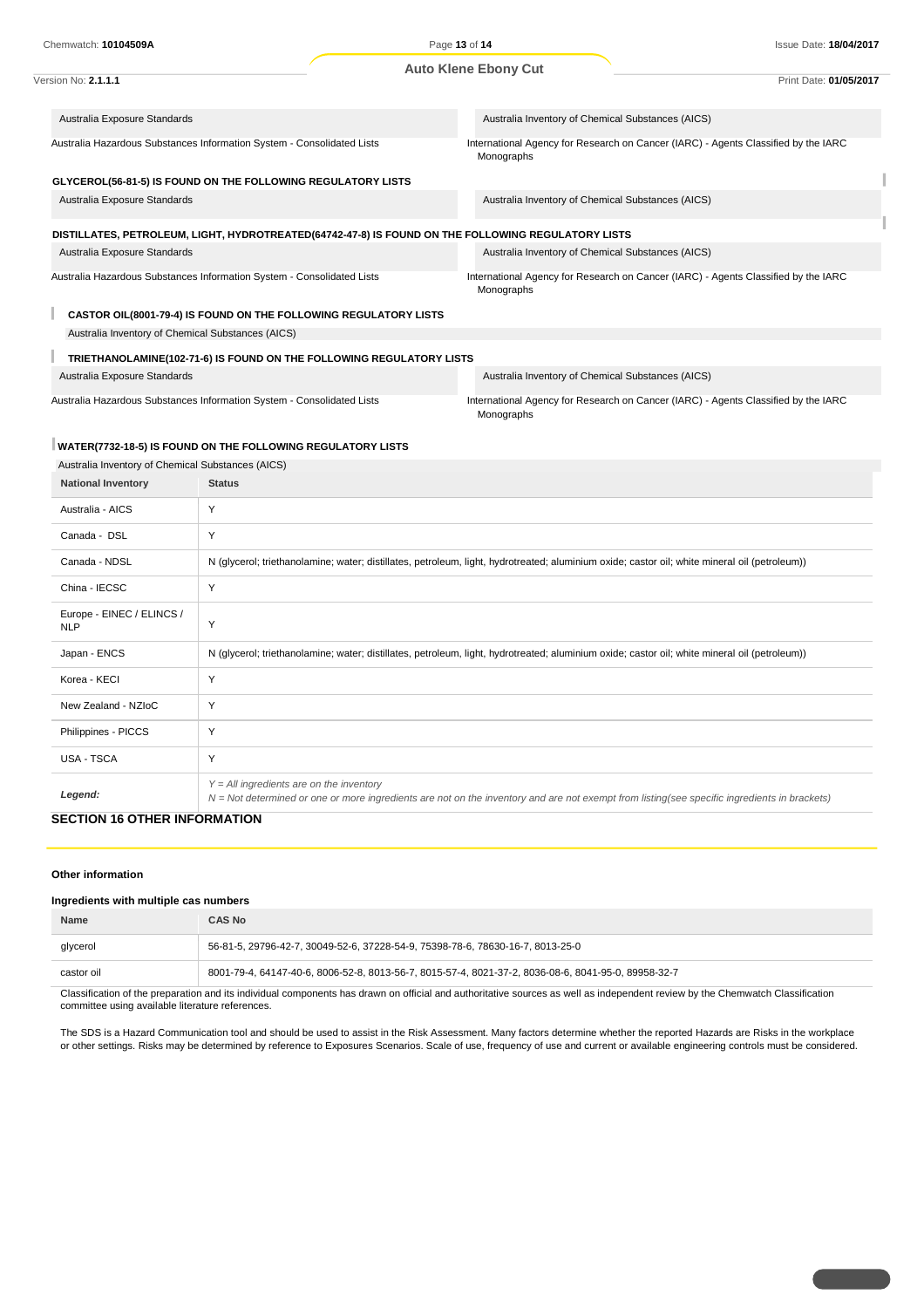| Chemwatch: 10104509A                                                                               | Page 13 of 14<br><b>Auto Klene Ebony Cut</b> |                                                   | <b>Issue Date: 18/04/2017</b>                                                      |
|----------------------------------------------------------------------------------------------------|----------------------------------------------|---------------------------------------------------|------------------------------------------------------------------------------------|
|                                                                                                    |                                              |                                                   |                                                                                    |
| Version No: 2.1.1.1                                                                                |                                              |                                                   | Print Date: 01/05/2017                                                             |
|                                                                                                    |                                              |                                                   |                                                                                    |
| Australia Exposure Standards                                                                       |                                              | Australia Inventory of Chemical Substances (AICS) |                                                                                    |
| Australia Hazardous Substances Information System - Consolidated Lists                             |                                              | Monographs                                        | International Agency for Research on Cancer (IARC) - Agents Classified by the IARC |
| GLYCEROL(56-81-5) IS FOUND ON THE FOLLOWING REGULATORY LISTS                                       |                                              |                                                   |                                                                                    |
| Australia Exposure Standards                                                                       |                                              | Australia Inventory of Chemical Substances (AICS) |                                                                                    |
| DISTILLATES, PETROLEUM, LIGHT, HYDROTREATED(64742-47-8) IS FOUND ON THE FOLLOWING REGULATORY LISTS |                                              |                                                   |                                                                                    |
| Australia Exposure Standards                                                                       |                                              | Australia Inventory of Chemical Substances (AICS) |                                                                                    |
| Australia Hazardous Substances Information System - Consolidated Lists                             |                                              | Monographs                                        | International Agency for Research on Cancer (IARC) - Agents Classified by the IARC |
| CASTOR OIL(8001-79-4) IS FOUND ON THE FOLLOWING REGULATORY LISTS                                   |                                              |                                                   |                                                                                    |
| Australia Inventory of Chemical Substances (AICS)                                                  |                                              |                                                   |                                                                                    |
| TRIETHANOLAMINE(102-71-6) IS FOUND ON THE FOLLOWING REGULATORY LISTS                               |                                              |                                                   |                                                                                    |
| Australia Exposure Standards                                                                       |                                              | Australia Inventory of Chemical Substances (AICS) |                                                                                    |
| Australia Hazardous Substances Information System - Consolidated Lists                             |                                              | Monographs                                        | International Agency for Research on Cancer (IARC) - Agents Classified by the IARC |

#### **WATER(7732-18-5) IS FOUND ON THE FOLLOWING REGULATORY LISTS**

| Australia Inventory of Chemical Substances (AICS) |                                                                                                                                                                                            |  |
|---------------------------------------------------|--------------------------------------------------------------------------------------------------------------------------------------------------------------------------------------------|--|
| <b>National Inventory</b>                         | <b>Status</b>                                                                                                                                                                              |  |
| Australia - AICS                                  | Y                                                                                                                                                                                          |  |
| Canada - DSL                                      | Y                                                                                                                                                                                          |  |
| Canada - NDSL                                     | N (glycerol; triethanolamine; water; distillates, petroleum, light, hydrotreated; aluminium oxide; castor oil; white mineral oil (petroleum))                                              |  |
| China - IECSC                                     | Y                                                                                                                                                                                          |  |
| Europe - EINEC / ELINCS /<br><b>NLP</b>           | Y                                                                                                                                                                                          |  |
| Japan - ENCS                                      | N (glycerol; triethanolamine; water; distillates, petroleum, light, hydrotreated; aluminium oxide; castor oil; white mineral oil (petroleum))                                              |  |
| Korea - KECI                                      | Y                                                                                                                                                                                          |  |
| New Zealand - NZIoC                               | Y                                                                                                                                                                                          |  |
| Philippines - PICCS                               | Y                                                                                                                                                                                          |  |
| <b>USA - TSCA</b>                                 | Y                                                                                                                                                                                          |  |
| Legend:<br>-------                                | $Y = All$ ingredients are on the inventory<br>N = Not determined or one or more ingredients are not on the inventory and are not exempt from listing(see specific ingredients in brackets) |  |

#### **SECTION 16 OTHER INFORMATION**

#### **Other information**

#### **Ingredients with multiple cas numbers**

| <b>Name</b> | CAS No                                                                                              |
|-------------|-----------------------------------------------------------------------------------------------------|
| glycerol    | 56-81-5, 29796-42-7, 30049-52-6, 37228-54-9, 75398-78-6, 78630-16-7, 8013-25-0                      |
| castor oil  | 8001-79-4, 64147-40-6, 8006-52-8, 8013-56-7, 8015-57-4, 8021-37-2, 8036-08-6, 8041-95-0, 89958-32-7 |

Classification of the preparation and its individual components has drawn on official and authoritative sources as well as independent review by the Chemwatch Classification committee using available literature references.

The SDS is a Hazard Communication tool and should be used to assist in the Risk Assessment. Many factors determine whether the reported Hazards are Risks in the workplace or other settings. Risks may be determined by reference to Exposures Scenarios. Scale of use, frequency of use and current or available engineering controls must be considered.